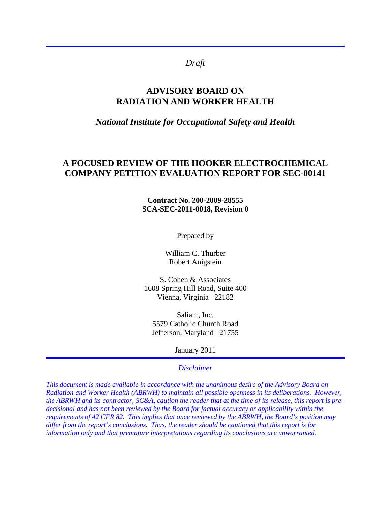# *Draft*

# **ADVISORY BOARD ON RADIATION AND WORKER HEALTH**

#### *National Institute for Occupational Safety and Health*

# **A FOCUSED REVIEW OF THE HOOKER ELECTROCHEMICAL COMPANY PETITION EVALUATION REPORT FOR SEC-00141**

#### **Contract No. 200-2009-28555 SCA-SEC-2011-0018, Revision 0**

Prepared by

William C. Thurber Robert Anigstein

S. Cohen & Associates 1608 Spring Hill Road, Suite 400 Vienna, Virginia 22182

Saliant, Inc. 5579 Catholic Church Road Jefferson, Maryland 21755

January 2011

#### *Disclaimer*

*This document is made available in accordance with the unanimous desire of the Advisory Board on Radiation and Worker Health (ABRWH) to maintain all possible openness in its deliberations. However, the ABRWH and its contractor, SC&A, caution the reader that at the time of its release, this report is predecisional and has not been reviewed by the Board for factual accuracy or applicability within the requirements of 42 CFR 82. This implies that once reviewed by the ABRWH, the Board's position may differ from the report's conclusions. Thus, the reader should be cautioned that this report is for information only and that premature interpretations regarding its conclusions are unwarranted.*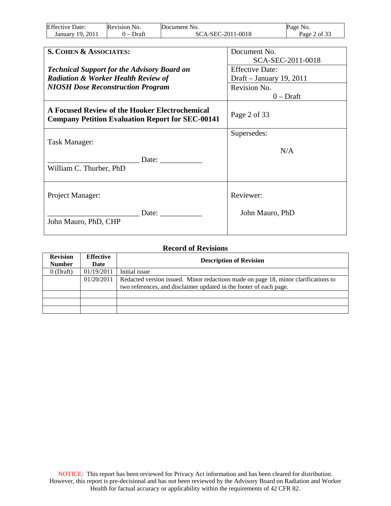| <b>Effective Date:</b> | Revision No.    | Document No.            | NO.<br>Page     |
|------------------------|-----------------|-------------------------|-----------------|
| 2011<br>19.<br>Januarv | Draft<br>$\sim$ | C-2011-0018<br>SCA-SEC- | : of 33<br>Page |

| S. COHEN & ASSOCIATES:                                                                                    | Document No.             |
|-----------------------------------------------------------------------------------------------------------|--------------------------|
|                                                                                                           | SCA-SEC-2011-0018        |
| <b>Technical Support for the Advisory Board on</b>                                                        | <b>Effective Date:</b>   |
| <b>Radiation &amp; Worker Health Review of</b>                                                            | Draft – January 19, 2011 |
| <b>NIOSH Dose Reconstruction Program</b>                                                                  | Revision No.             |
|                                                                                                           | $0$ – Draft              |
| A Focused Review of the Hooker Electrochemical<br><b>Company Petition Evaluation Report for SEC-00141</b> | Page 2 of 33             |
|                                                                                                           | Supersedes:              |
| Task Manager:                                                                                             |                          |
|                                                                                                           | N/A                      |
| Date:                                                                                                     |                          |
| William C. Thurber, PhD                                                                                   |                          |
| Project Manager:                                                                                          | Reviewer:                |
|                                                                                                           |                          |
| Date:<br>John Mauro, PhD, CHP                                                                             | John Mauro, PhD          |
|                                                                                                           |                          |

| <b>Record of Revisions</b>       |                          |                                                                                    |  |
|----------------------------------|--------------------------|------------------------------------------------------------------------------------|--|
| <b>Revision</b><br><b>Number</b> | <b>Effective</b><br>Date | <b>Description of Revision</b>                                                     |  |
| $0$ (Draft)                      | 01/19/2011               | Initial issue                                                                      |  |
|                                  | 01/20/2011               | Redacted version issued. Minor redactions made on page 18, minor clarifications to |  |
|                                  |                          | two references, and disclaimer updated in the footer of each page.                 |  |
|                                  |                          |                                                                                    |  |
|                                  |                          |                                                                                    |  |
|                                  |                          |                                                                                    |  |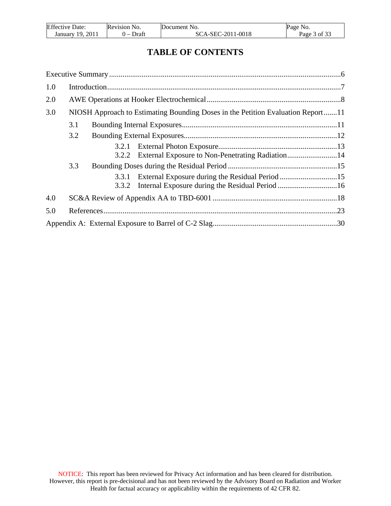| <b>Effective Date:</b> | Revision No.         | Document No.      | Page No.     |
|------------------------|----------------------|-------------------|--------------|
| January 19, 2011       | Draft<br>$\cdot$ $-$ | SCA-SEC-2011-0018 | Page 3 of 33 |

# **TABLE OF CONTENTS**

| 1.0 |     |       |                                                                                 |  |
|-----|-----|-------|---------------------------------------------------------------------------------|--|
| 2.0 |     |       |                                                                                 |  |
| 3.0 |     |       | NIOSH Approach to Estimating Bounding Doses in the Petition Evaluation Report11 |  |
|     | 3.1 |       |                                                                                 |  |
|     | 3.2 |       |                                                                                 |  |
|     |     | 3.2.1 |                                                                                 |  |
|     |     |       | 3.2.2 External Exposure to Non-Penetrating Radiation14                          |  |
|     | 3.3 |       |                                                                                 |  |
|     |     | 3.3.1 | External Exposure during the Residual Period 15                                 |  |
|     |     | 3.3.2 |                                                                                 |  |
| 4.0 |     |       |                                                                                 |  |
| 5.0 |     |       |                                                                                 |  |
|     |     |       |                                                                                 |  |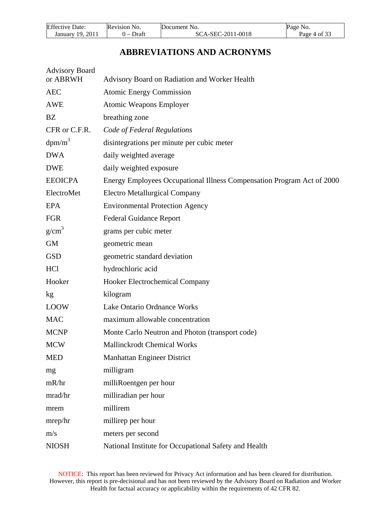| <b>Effective Date:</b> | Revision No. | Document No.      | Page No.     |
|------------------------|--------------|-------------------|--------------|
| 2011<br>January 19.    | Draft        | SCA-SEC-2011-0018 | Page 4 of 33 |

# **ABBREVIATIONS AND ACRONYMS**

| <b>Advisory Board</b><br>or ABRWH | Advisory Board on Radiation and Worker Health                          |
|-----------------------------------|------------------------------------------------------------------------|
| <b>AEC</b>                        | <b>Atomic Energy Commission</b>                                        |
| <b>AWE</b>                        | <b>Atomic Weapons Employer</b>                                         |
| <b>BZ</b>                         | breathing zone                                                         |
| CFR or C.F.R.                     | Code of Federal Regulations                                            |
| $dpm/m^3$                         | disintegrations per minute per cubic meter                             |
| <b>DWA</b>                        | daily weighted average                                                 |
| <b>DWE</b>                        | daily weighted exposure                                                |
| <b>EEOICPA</b>                    | Energy Employees Occupational Illness Compensation Program Act of 2000 |
| ElectroMet                        | <b>Electro Metallurgical Company</b>                                   |
| EPA                               | <b>Environmental Protection Agency</b>                                 |
| <b>FGR</b>                        | <b>Federal Guidance Report</b>                                         |
| $g/cm^3$                          | grams per cubic meter                                                  |
| <b>GM</b>                         | geometric mean                                                         |
| <b>GSD</b>                        | geometric standard deviation                                           |
| <b>HCl</b>                        | hydrochloric acid                                                      |
| Hooker                            | Hooker Electrochemical Company                                         |
| kg                                | kilogram                                                               |
| <b>LOOW</b>                       | Lake Ontario Ordnance Works                                            |
| <b>MAC</b>                        | maximum allowable concentration                                        |
| <b>MCNP</b>                       | Monte Carlo Neutron and Photon (transport code)                        |
| <b>MCW</b>                        | <b>Mallinckrodt Chemical Works</b>                                     |
| <b>MED</b>                        | Manhattan Engineer District                                            |
| mg                                | milligram                                                              |
| mR/hr                             | milliRoentgen per hour                                                 |
| mrad/hr                           | milliradian per hour                                                   |
| mrem                              | millirem                                                               |
| mrep/hr                           | millirep per hour                                                      |
| m/s                               | meters per second                                                      |
| <b>NIOSH</b>                      | National Institute for Occupational Safety and Health                  |

NOTICE: This report has been reviewed for Privacy Act information and has been cleared for distribution. However, this report is pre-decisional and has not been reviewed by the Advisory Board on Radiation and Worker Health for factual accuracy or applicability within the requirements of 42 CFR 82.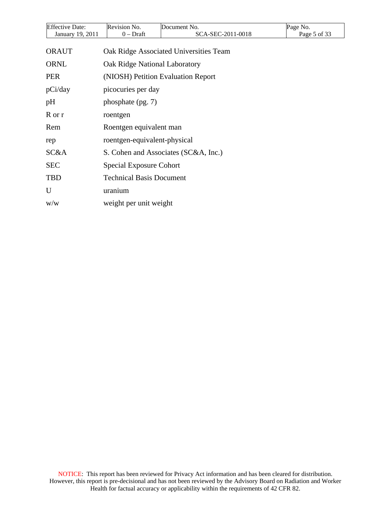| <b>Effective Date:</b>  | Revision No.                       | Document No.                           | Page No.     |  |  |  |
|-------------------------|------------------------------------|----------------------------------------|--------------|--|--|--|
| January 19, 2011        | $0$ – Draft                        | SCA-SEC-2011-0018                      | Page 5 of 33 |  |  |  |
| <b>ORAUT</b>            |                                    | Oak Ridge Associated Universities Team |              |  |  |  |
| <b>ORNL</b>             |                                    | Oak Ridge National Laboratory          |              |  |  |  |
| <b>PER</b>              | (NIOSH) Petition Evaluation Report |                                        |              |  |  |  |
| pCi/day                 | picocuries per day                 |                                        |              |  |  |  |
| pН                      | phosphate (pg. 7)                  |                                        |              |  |  |  |
| R or r                  | roentgen                           |                                        |              |  |  |  |
| Rem                     | Roentgen equivalent man            |                                        |              |  |  |  |
| rep                     | roentgen-equivalent-physical       |                                        |              |  |  |  |
| SC&A                    |                                    | S. Cohen and Associates (SC&A, Inc.)   |              |  |  |  |
| <b>SEC</b>              |                                    | Special Exposure Cohort                |              |  |  |  |
| TBD                     | <b>Technical Basis Document</b>    |                                        |              |  |  |  |
| U                       | uranium                            |                                        |              |  |  |  |
| $\mathrm{w}/\mathrm{w}$ | weight per unit weight             |                                        |              |  |  |  |
|                         |                                    |                                        |              |  |  |  |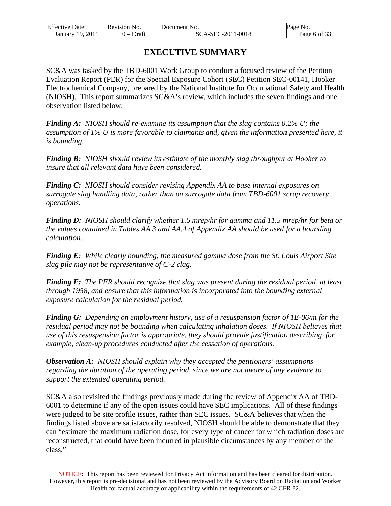| <b>Effective Date:</b> | Revision No.                      | Document No.      | Page No.     |
|------------------------|-----------------------------------|-------------------|--------------|
| 2011<br>January 19     | Draft<br>$\overline{\phantom{0}}$ | SCA-SEC-2011-0018 | Page 6 of 33 |

# **EXECUTIVE SUMMARY**

<span id="page-5-0"></span>SC&A was tasked by the TBD-6001 Work Group to conduct a focused review of the Petition Evaluation Report (PER) for the Special Exposure Cohort (SEC) Petition SEC-00141, Hooker Electrochemical Company, prepared by the National Institute for Occupational Safety and Health (NIOSH). This report summarizes SC&A's review, which includes the seven findings and one observation listed below:

*Finding A: NIOSH should re-examine its assumption that the slag contains 0.2% U; the assumption of 1% U is more favorable to claimants and, given the information presented here, it is bounding.* 

*Finding B: NIOSH should review its estimate of the monthly slag throughput at Hooker to insure that all relevant data have been considered.* 

*Finding C: NIOSH should consider revising Appendix AA to base internal exposures on surrogate slag handling data, rather than on surrogate data from TBD-6001 scrap recovery operations.* 

*Finding D: NIOSH should clarify whether 1.6 mrep/hr for gamma and 11.5 mrep/hr for beta or the values contained in Tables AA.3 and AA.4 of Appendix AA should be used for a bounding calculation.* 

*Finding E: While clearly bounding, the measured gamma dose from the St. Louis Airport Site slag pile may not be representative of C-2 clag*.

*Finding F: The PER should recognize that slag was present during the residual period, at least through 1958, and ensure that this information is incorporated into the bounding external exposure calculation for the residual period.* 

*Finding G: Depending on employment history, use of a resuspension factor of 1E-06/m for the residual period may not be bounding when calculating inhalation doses. If NIOSH believes that use of this resuspension factor is appropriate, they should provide justification describing, for example, clean-up procedures conducted after the cessation of operations.* 

*Observation A: NIOSH should explain why they accepted the petitioners' assumptions regarding the duration of the operating period, since we are not aware of any evidence to support the extended operating period.* 

SC&A also revisited the findings previously made during the review of Appendix AA of TBD-6001 to determine if any of the open issues could have SEC implications. All of these findings were judged to be site profile issues, rather than SEC issues. SC&A believes that when the findings listed above are satisfactorily resolved, NIOSH should be able to demonstrate that they can "estimate the maximum radiation dose, for every type of cancer for which radiation doses are reconstructed, that could have been incurred in plausible circumstances by any member of the class."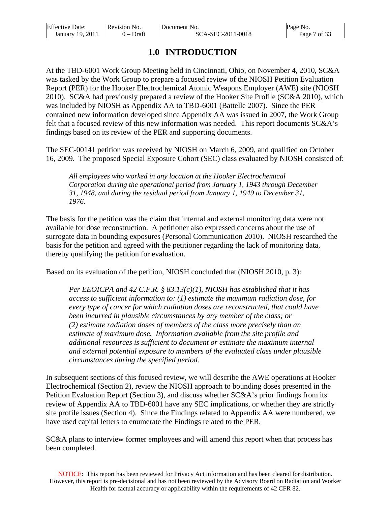| <b>Effective Date:</b> | Revision No. | Document No.      | Page No. |
|------------------------|--------------|-------------------|----------|
| -201                   | Draft        | SCA-SEC-2011-0018 | ' of 33  |
| January 19,            | . –          |                   | Page     |

# **1.0 INTRODUCTION**

<span id="page-6-0"></span>At the TBD-6001 Work Group Meeting held in Cincinnati, Ohio, on November 4, 2010, SC&A was tasked by the Work Group to prepare a focused review of the NIOSH Petition Evaluation Report (PER) for the Hooker Electrochemical Atomic Weapons Employer (AWE) site (NIOSH 2010). SC&A had previously prepared a review of the Hooker Site Profile (SC&A 2010), which was included by NIOSH as Appendix AA to TBD-6001 (Battelle 2007). Since the PER contained new information developed since Appendix AA was issued in 2007, the Work Group felt that a focused review of this new information was needed. This report documents SC&A's findings based on its review of the PER and supporting documents.

The SEC-00141 petition was received by NIOSH on March 6, 2009, and qualified on October 16, 2009. The proposed Special Exposure Cohort (SEC) class evaluated by NIOSH consisted of:

*All employees who worked in any location at the Hooker Electrochemical Corporation during the operational period from January 1, 1943 through December 31, 1948, and during the residual period from January 1, 1949 to December 31, 1976.*

The basis for the petition was the claim that internal and external monitoring data were not available for dose reconstruction. A petitioner also expressed concerns about the use of surrogate data in bounding exposures (Personal Communication 2010). NIOSH researched the basis for the petition and agreed with the petitioner regarding the lack of monitoring data, thereby qualifying the petition for evaluation.

Based on its evaluation of the petition, NIOSH concluded that (NIOSH 2010, p. 3):

*Per EEOICPA and 42 C.F.R. § 83.13(c)(1), NIOSH has established that it has access to sufficient information to: (1) estimate the maximum radiation dose, for every type of cancer for which radiation doses are reconstructed, that could have been incurred in plausible circumstances by any member of the class; or (2) estimate radiation doses of members of the class more precisely than an estimate of maximum dose. Information available from the site profile and additional resources is sufficient to document or estimate the maximum internal and external potential exposure to members of the evaluated class under plausible circumstances during the specified period.* 

In subsequent sections of this focused review, we will describe the AWE operations at Hooker Electrochemical (Section 2), review the NIOSH approach to bounding doses presented in the Petition Evaluation Report (Section 3), and discuss whether SC&A's prior findings from its review of Appendix AA to TBD-6001 have any SEC implications, or whether they are strictly site profile issues (Section 4). Since the Findings related to Appendix AA were numbered, we have used capital letters to enumerate the Findings related to the PER.

SC&A plans to interview former employees and will amend this report when that process has been completed.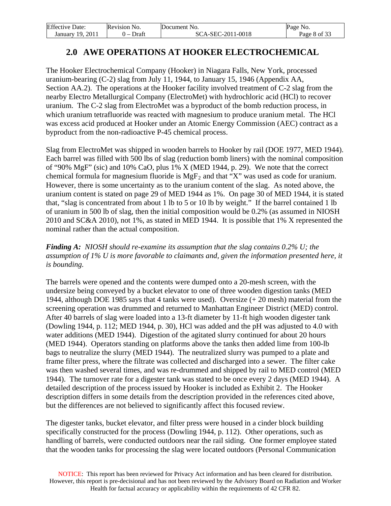| <b>Effective Date:</b> | <b>Revision No.</b> | Document No.      | Page No.     |
|------------------------|---------------------|-------------------|--------------|
| -2011<br>January 19.   | Draft<br>. –        | SCA-SEC-2011-0018 | Page 8 of 33 |

# **2.0 AWE OPERATIONS AT HOOKER ELECTROCHEMICAL**

<span id="page-7-0"></span>The Hooker Electrochemical Company (Hooker) in Niagara Falls, New York, processed uranium-bearing (C-2) slag from July 11, 1944, to January 15, 1946 (Appendix AA, Section AA.2). The operations at the Hooker facility involved treatment of C-2 slag from the nearby Electro Metallurgical Company (ElectroMet) with hydrochloric acid (HCl) to recover uranium. The C-2 slag from ElectroMet was a byproduct of the bomb reduction process, in which uranium tetrafluoride was reacted with magnesium to produce uranium metal. The HCl was excess acid produced at Hooker under an Atomic Energy Commission (AEC) contract as a byproduct from the non-radioactive P-45 chemical process.

Slag from ElectroMet was shipped in wooden barrels to Hooker by rail (DOE 1977, MED 1944). Each barrel was filled with 500 lbs of slag (reduction bomb liners) with the nominal composition of "90% MgF" (sic) and 10% CaO, plus 1% X (MED 1944, p. 29). We note that the correct chemical formula for magnesium fluoride is  $MgF_2$  and that "X" was used as code for uranium. However, there is some uncertainty as to the uranium content of the slag. As noted above, the uranium content is stated on page 29 of MED 1944 as 1%. On page 30 of MED 1944, it is stated that, "slag is concentrated from about 1 lb to 5 or 10 lb by weight." If the barrel contained 1 lb of uranium in 500 lb of slag, then the initial composition would be 0.2% (as assumed in NIOSH 2010 and SC&A 2010), not 1%, as stated in MED 1944. It is possible that 1% X represented the nominal rather than the actual composition.

*Finding A: NIOSH should re-examine its assumption that the slag contains 0.2% U; the assumption of 1% U is more favorable to claimants and, given the information presented here, it is bounding.* 

The barrels were opened and the contents were dumped onto a 20-mesh screen, with the undersize being conveyed by a bucket elevator to one of three wooden digestion tanks (MED 1944, although DOE 1985 says that 4 tanks were used). Oversize (+ 20 mesh) material from the screening operation was drummed and returned to Manhattan Engineer District (MED) control. After 40 barrels of slag were loaded into a 13-ft diameter by 11-ft high wooden digester tank (Dowling 1944, p. 112; MED 1944, p. 30), HCl was added and the pH was adjusted to 4.0 with water additions (MED 1944). Digestion of the agitated slurry continued for about 20 hours (MED 1944). Operators standing on platforms above the tanks then added lime from 100-lb bags to neutralize the slurry (MED 1944). The neutralized slurry was pumped to a plate and frame filter press, where the filtrate was collected and discharged into a sewer. The filter cake was then washed several times, and was re-drummed and shipped by rail to MED control (MED 1944). The turnover rate for a digester tank was stated to be once every 2 days (MED 1944). A detailed description of the process issued by Hooker is included as Exhibit 2. The Hooker description differs in some details from the description provided in the references cited above, but the differences are not believed to significantly affect this focused review.

The digester tanks, bucket elevator, and filter press were housed in a cinder block building specifically constructed for the process (Dowling 1944, p. 112). Other operations, such as handling of barrels, were conducted outdoors near the rail siding. One former employee stated that the wooden tanks for processing the slag were located outdoors (Personal Communication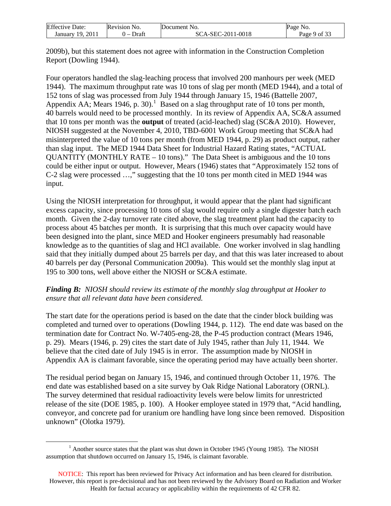| <b>Effective Date:</b> | Revision No.                      | Document No.      | Page No.     |
|------------------------|-----------------------------------|-------------------|--------------|
| January 19, 2011       | Draft<br>$\overline{\phantom{0}}$ | SCA-SEC-2011-0018 | Page 9 of 33 |

2009b), but this statement does not agree with information in the Construction Completion Report (Dowling 1944).

Four operators handled the slag-leaching process that involved 200 manhours per week (MED 1944). The maximum throughput rate was 10 tons of slag per month (MED 1944), and a total of 152 tons of slag was processed from July 1944 through January 15, 1946 (Battelle 2007, Appendix AA; Mears [1](#page-8-0)946, p. 30).<sup>1</sup> Based on a slag throughput rate of 10 tons per month, 40 barrels would need to be processed monthly. In its review of Appendix AA, SC&A assumed that 10 tons per month was the **output** of treated (acid-leached) slag (SC&A 2010). However, NIOSH suggested at the November 4, 2010, TBD-6001 Work Group meeting that SC&A had misinterpreted the value of 10 tons per month (from MED 1944, p. 29) as product output, rather than slag input. The MED 1944 Data Sheet for Industrial Hazard Rating states, "ACTUAL QUANTITY (MONTHLY RATE – 10 tons)." The Data Sheet is ambiguous and the 10 tons could be either input or output. However, Mears (1946) states that "Approximately 152 tons of C-2 slag were processed …," suggesting that the 10 tons per month cited in MED 1944 was input.

Using the NIOSH interpretation for throughput, it would appear that the plant had significant excess capacity, since processing 10 tons of slag would require only a single digester batch each month. Given the 2-day turnover rate cited above, the slag treatment plant had the capacity to process about 45 batches per month. It is surprising that this much over capacity would have been designed into the plant, since MED and Hooker engineers presumably had reasonable knowledge as to the quantities of slag and HCl available. One worker involved in slag handling said that they initially dumped about 25 barrels per day, and that this was later increased to about 40 barrels per day (Personal Communication 2009a). This would set the monthly slag input at 195 to 300 tons, well above either the NIOSH or SC&A estimate.

## *Finding B: NIOSH should review its estimate of the monthly slag throughput at Hooker to ensure that all relevant data have been considered.*

The start date for the operations period is based on the date that the cinder block building was completed and turned over to operations (Dowling 1944, p. 112). The end date was based on the termination date for Contract No. W-7405-eng-28, the P-45 production contract (Mears 1946, p. 29). Mears (1946, p. 29) cites the start date of July 1945, rather than July 11, 1944. We believe that the cited date of July 1945 is in error. The assumption made by NIOSH in Appendix AA is claimant favorable, since the operating period may have actually been shorter.

The residual period began on January 15, 1946, and continued through October 11, 1976. The end date was established based on a site survey by Oak Ridge National Laboratory (ORNL). The survey determined that residual radioactivity levels were below limits for unrestricted release of the site (DOE 1985, p. 100). A Hooker employee stated in 1979 that, "Acid handling, conveyor, and concrete pad for uranium ore handling have long since been removed. Disposition unknown" (Olotka 1979).

<span id="page-8-0"></span> $\overline{a}$  $<sup>1</sup>$  Another source states that the plant was shut down in October 1945 (Young 1985). The NIOSH</sup> assumption that shutdown occurred on January 15, 1946, is claimant favorable.

NOTICE: This report has been reviewed for Privacy Act information and has been cleared for distribution. However, this report is pre-decisional and has not been reviewed by the Advisory Board on Radiation and Worker Health for factual accuracy or applicability within the requirements of 42 CFR 82.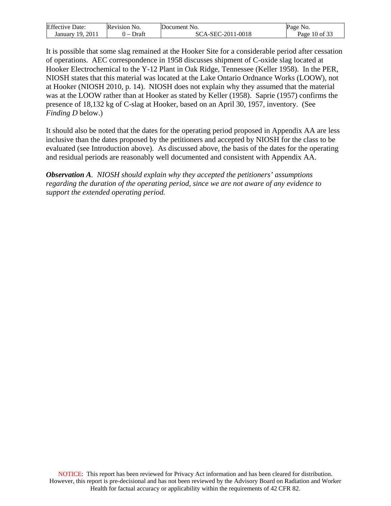| <b>Effective Date:</b> | Revision                          | Jocument          | Page               |
|------------------------|-----------------------------------|-------------------|--------------------|
|                        | NO.                               | 'NO.              | NO.                |
| 2011<br>19.<br>Januarv | Draft<br>$\overline{\phantom{0}}$ | EC-2011-0018<br>л | $10$ of 33<br>Page |

It is possible that some slag remained at the Hooker Site for a considerable period after cessation of operations. AEC correspondence in 1958 discusses shipment of C-oxide slag located at Hooker Electrochemical to the Y-12 Plant in Oak Ridge, Tennessee (Keller 1958). In the PER, NIOSH states that this material was located at the Lake Ontario Ordnance Works (LOOW), not at Hooker (NIOSH 2010, p. 14). NIOSH does not explain why they assumed that the material was at the LOOW rather than at Hooker as stated by Keller (1958). Saprie (1957) confirms the presence of 18,132 kg of C-slag at Hooker, based on an April 30, 1957, inventory. (See *Finding D* below.)

It should also be noted that the dates for the operating period proposed in Appendix AA are less inclusive than the dates proposed by the petitioners and accepted by NIOSH for the class to be evaluated (see Introduction above). As discussed above, the basis of the dates for the operating and residual periods are reasonably well documented and consistent with Appendix AA.

*Observation A. NIOSH should explain why they accepted the petitioners' assumptions regarding the duration of the operating period, since we are not aware of any evidence to support the extended operating period.*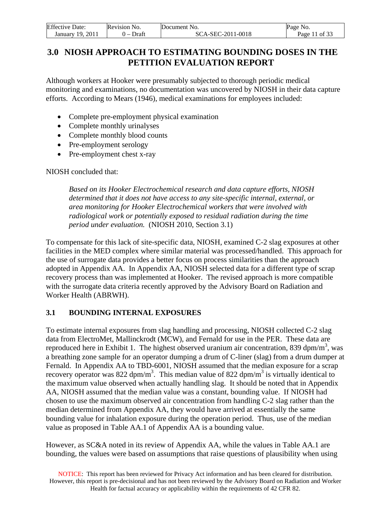| <b>Effective Date:</b> | <b>Revision No.</b>  | Document No.      | No.<br>Page   |
|------------------------|----------------------|-------------------|---------------|
| 2011<br>January 19,    | Draft<br>$\cdot$ $-$ | SCA-SEC-2011-0018 | Page 11 of 33 |

# <span id="page-10-0"></span>**3.0 NIOSH APPROACH TO ESTIMATING BOUNDING DOSES IN THE PETITION EVALUATION REPORT**

Although workers at Hooker were presumably subjected to thorough periodic medical monitoring and examinations, no documentation was uncovered by NIOSH in their data capture efforts. According to Mears (1946), medical examinations for employees included:

- Complete pre-employment physical examination
- Complete monthly urinalyses
- Complete monthly blood counts
- Pre-employment serology
- Pre-employment chest x-ray

#### NIOSH concluded that:

*Based on its Hooker Electrochemical research and data capture efforts, NIOSH determined that it does not have access to any site-specific internal, external, or area monitoring for Hooker Electrochemical workers that were involved with radiological work or potentially exposed to residual radiation during the time period under evaluation.* (NIOSH 2010, Section 3.1)

To compensate for this lack of site-specific data, NIOSH, examined C-2 slag exposures at other facilities in the MED complex where similar material was processed/handled. This approach for the use of surrogate data provides a better focus on process similarities than the approach adopted in Appendix AA. In Appendix AA, NIOSH selected data for a different type of scrap recovery process than was implemented at Hooker. The revised approach is more compatible with the surrogate data criteria recently approved by the Advisory Board on Radiation and Worker Health (ABRWH).

## <span id="page-10-1"></span>**3.1 BOUNDING INTERNAL EXPOSURES**

To estimate internal exposures from slag handling and processing, NIOSH collected C-2 slag data from ElectroMet, Mallinckrodt (MCW), and Fernald for use in the PER. These data are reproduced here in Exhibit 1. The highest observed uranium air concentration, 839 dpm/m<sup>3</sup>, was a breathing zone sample for an operator dumping a drum of C-liner (slag) from a drum dumper at Fernald. In Appendix AA to TBD-6001, NIOSH assumed that the median exposure for a scrap recovery operator was 822 dpm/m<sup>3</sup>. This median value of 822 dpm/m<sup>3</sup> is virtually identical to the maximum value observed when actually handling slag. It should be noted that in Appendix AA, NIOSH assumed that the median value was a constant, bounding value. If NIOSH had chosen to use the maximum observed air concentration from handling C-2 slag rather than the median determined from Appendix AA, they would have arrived at essentially the same bounding value for inhalation exposure during the operation period. Thus, use of the median value as proposed in Table AA.1 of Appendix AA is a bounding value.

However, as SC&A noted in its review of Appendix AA, while the values in Table AA.1 are bounding, the values were based on assumptions that raise questions of plausibility when using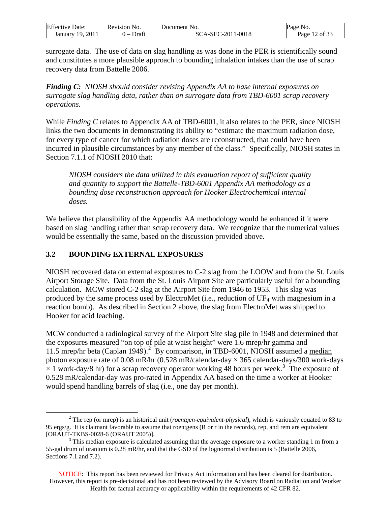| <b>Effective Date:</b> | <b>Revision No.</b>               | Document No.      | Page No.         |
|------------------------|-----------------------------------|-------------------|------------------|
| 2011<br>19.<br>January | Draft<br>$\overline{\phantom{0}}$ | SCA-SEC-2011-0018 | 12 of 33<br>Page |

surrogate data. The use of data on slag handling as was done in the PER is scientifically sound and constitutes a more plausible approach to bounding inhalation intakes than the use of scrap recovery data from Battelle 2006.

*Finding C: NIOSH should consider revising Appendix AA to base internal exposures on surrogate slag handling data, rather than on surrogate data from TBD-6001 scrap recovery operations.* 

While *Finding C* relates to Appendix AA of TBD-6001, it also relates to the PER, since NIOSH links the two documents in demonstrating its ability to "estimate the maximum radiation dose, for every type of cancer for which radiation doses are reconstructed, that could have been incurred in plausible circumstances by any member of the class." Specifically, NIOSH states in Section 7.1.1 of NIOSH 2010 that:

*NIOSH considers the data utilized in this evaluation report of sufficient quality and quantity to support the Battelle-TBD-6001 Appendix AA methodology as a*  bounding dose reconstruction approach for Hooker Electrochemical internal *doses.* 

We believe that plausibility of the Appendix AA methodology would be enhanced if it were based on slag handling rather than scrap recovery data. We recognize that the numerical values would be essentially the same, based on the discussion provided above.

## <span id="page-11-0"></span>**3.2 BOUNDING EXTERNAL EXPOSURES**

NIOSH recovered data on external exposures to C-2 slag from the LOOW and from the St. Louis Airport Storage Site. Data from the St. Louis Airport Site are particularly useful for a bounding calculation. MCW stored C-2 slag at the Airport Site from 1946 to 1953. This slag was produced by the same process used by ElectroMet (i.e., reduction of  $UF_4$  with magnesium in a reaction bomb). As described in Section 2 above, the slag from ElectroMet was shipped to Hooker for acid leaching.

MCW conducted a radiological survey of the Airport Site slag pile in 1948 and determined that the exposures measured "on top of pile at waist height" were 1.6 mrep/hr gamma and 11.5 mrep/hr beta (Caplan 1949).<sup>[2](#page-11-1)</sup> By comparison, in TBD-6001, NIOSH assumed a median photon exposure rate of 0.08 mR/hr (0.528 mR/calendar-day  $\times$  365 calendar-days/300 work-days  $\times$  1 work-day/8 hr) for a scrap recovery operator working 48 hours per week.<sup>[3](#page-11-2)</sup> The exposure of 0.528 mR/calendar-day was pro-rated in Appendix AA based on the time a worker at Hooker would spend handling barrels of slag (i.e., one day per month).

<span id="page-11-1"></span> $\frac{1}{2}$  The rep (or mrep) is an historical unit (*roentgen-equivalent-physical*), which is variously equated to 83 to 95 ergs/g. It is claimant favorable to assume that roentgens (R or r in the records), rep, and rem are equivalent [ORAUT-TKBS-0028-6 (ORAUT 2005)].

<span id="page-11-2"></span> $3$  This median exposure is calculated assuming that the average exposure to a worker standing 1 m from a 55-gal drum of uranium is 0.28 mR/hr, and that the GSD of the lognormal distribution is 5 (Battelle 2006, Sections 7.1 and 7.2).

NOTICE: This report has been reviewed for Privacy Act information and has been cleared for distribution. However, this report is pre-decisional and has not been reviewed by the Advisory Board on Radiation and Worker Health for factual accuracy or applicability within the requirements of 42 CFR 82.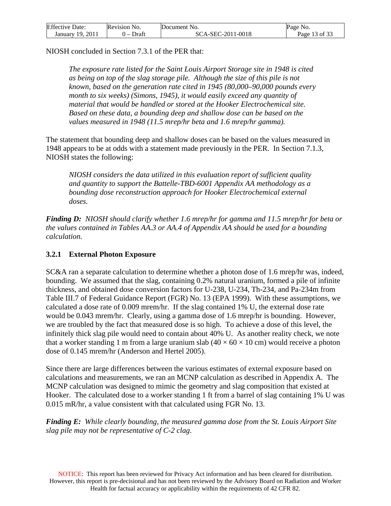| <b>Effective Date:</b> | <b>Revision No.</b>     | Document No.      | Page No.      |
|------------------------|-------------------------|-------------------|---------------|
| January 19, 2011       | Draft<br>$\overline{ }$ | SCA-SEC-2011-0018 | Page 13 of 33 |

NIOSH concluded in Section 7.3.1 of the PER that:

*The exposure rate listed for the Saint Louis Airport Storage site in 1948 is cited as being on top of the slag storage pile. Although the size of this pile is not known, based on the generation rate cited in 1945 (80,000–90,000 pounds every month to six weeks) (Simons, 1945), it would easily exceed any quantity of material that would be handled or stored at the Hooker Electrochemical site. Based on these data, a bounding deep and shallow dose can be based on the values measured in 1948 (11.5 mrep/hr beta and 1.6 mrep/hr gamma).* 

The statement that bounding deep and shallow doses can be based on the values measured in 1948 appears to be at odds with a statement made previously in the PER. In Section 7.1.3, NIOSH states the following:

*NIOSH considers the data utilized in this evaluation report of sufficient quality and quantity to support the Battelle-TBD-6001 Appendix AA methodology as a bounding dose reconstruction approach for Hooker Electrochemical external doses.* 

*Finding D: NIOSH should clarify whether 1.6 mrep/hr for gamma and 11.5 mrep/hr for beta or the values contained in Tables AA.3 or AA.4 of Appendix AA should be used for a bounding calculation.* 

### <span id="page-12-0"></span>**3.2.1 External Photon Exposure**

SC&A ran a separate calculation to determine whether a photon dose of 1.6 mrep/hr was, indeed, bounding. We assumed that the slag, containing 0.2% natural uranium, formed a pile of infinite thickness, and obtained dose conversion factors for U-238, U-234, Th-234, and Pa-234m from Table III.7 of Federal Guidance Report (FGR) No. 13 (EPA 1999). With these assumptions, we calculated a dose rate of 0.009 mrem/hr. If the slag contained 1% U, the external dose rate would be 0.043 mrem/hr. Clearly, using a gamma dose of 1.6 mrep/hr is bounding. However, we are troubled by the fact that measured dose is so high. To achieve a dose of this level, the infinitely thick slag pile would need to contain about 40% U. As another reality check, we note that a worker standing 1 m from a large uranium slab  $(40 \times 60 \times 10 \text{ cm})$  would receive a photon dose of 0.145 mrem/hr (Anderson and Hertel 2005).

Since there are large differences between the various estimates of external exposure based on calculations and measurements, we ran an MCNP calculation as described in Appendix A. The MCNP calculation was designed to mimic the geometry and slag composition that existed at Hooker. The calculated dose to a worker standing 1 ft from a barrel of slag containing 1% U was 0.015 mR/hr, a value consistent with that calculated using FGR No. 13.

*Finding E: While clearly bounding, the measured gamma dose from the St. Louis Airport Site slag pile may not be representative of C-2 clag*.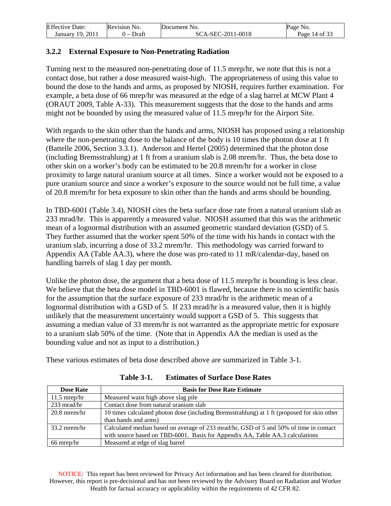| <b>Effective Date:</b> | Revision No.          | Document No.      | Page No.      |
|------------------------|-----------------------|-------------------|---------------|
| January 19, 2011       | Draft<br>$\mathbf{I}$ | SCA-SEC-2011-0018 | Page 14 of 33 |

## <span id="page-13-0"></span>**3.2.2 External Exposure to Non-Penetrating Radiation**

Turning next to the measured non-penetrating dose of 11.5 mrep/hr, we note that this is not a contact dose, but rather a dose measured waist-high. The appropriateness of using this value to bound the dose to the hands and arms, as proposed by NIOSH, requires further examination. For example, a beta dose of 66 mrep/hr was measured at the edge of a slag barrel at MCW Plant 4 (ORAUT 2009, Table A-33). This measurement suggests that the dose to the hands and arms might not be bounded by using the measured value of 11.5 mrep/hr for the Airport Site.

With regards to the skin other than the hands and arms, NIOSH has proposed using a relationship where the non-penetrating dose to the balance of the body is 10 times the photon dose at 1 ft (Battelle 2006, Section 3.3.1). Anderson and Hertel (2005) determined that the photon dose (including Bremsstrahlung) at 1 ft from a uranium slab is 2.08 mrem/hr. Thus, the beta dose to other skin on a worker's body can be estimated to be 20.8 mrem/hr for a worker in close proximity to large natural uranium source at all times. Since a worker would not be exposed to a pure uranium source and since a worker's exposure to the source would not be full time, a value of 20.8 mrem/hr for beta exposure to skin other than the hands and arms should be bounding.

In TBD-6001 (Table 3.4), NIOSH cites the beta surface dose rate from a natural uranium slab as 233 mrad/hr. This is apparently a measured value. NIOSH assumed that this was the arithmetic mean of a lognormal distribution with an assumed geometric standard deviation (GSD) of 5. They further assumed that the worker spent 50% of the time with his hands in contact with the uranium slab, incurring a dose of 33.2 mrem/hr. This methodology was carried forward to Appendix AA (Table AA.3), where the dose was pro-rated to 11 mR/calendar-day, based on handling barrels of slag 1 day per month.

Unlike the photon dose, the argument that a beta dose of 11.5 mrep/hr is bounding is less clear. We believe that the beta dose model in TBD-6001 is flawed, because there is no scientific basis for the assumption that the surface exposure of 233 mrad/hr is the arithmetic mean of a lognormal distribution with a GSD of 5. If 233 mrad/hr is a measured value, then it is highly unlikely that the measurement uncertainty would support a GSD of 5. This suggests that assuming a median value of 33 mrem/hr is not warranted as the appropriate metric for exposure to a uranium slab 50% of the time. (Note that in Appendix AA the median is used as the bounding value and not as input to a distribution.)

These various estimates of beta dose described above are summarized in Table 3-1.

| <b>Dose Rate</b>      | <b>Basis for Dose Rate Estimate</b>                                                         |
|-----------------------|---------------------------------------------------------------------------------------------|
| $11.5$ mrep/hr        | Measured waist high above slag pile                                                         |
| $233 \text{ mrad/hr}$ | Contact dose from natural uranium slab                                                      |
| $20.8$ mrem/hr        | 10 times calculated photon dose (including Bremsstrahlung) at 1 ft (proposed for skin other |
|                       | than hands and arms)                                                                        |
| $33.2$ mrem/hr        | Calculated median based on average of 233 mrad/hr, GSD of 5 and 50% of time in contact      |
|                       | with source based on TBD-6001. Basis for Appendix AA, Table AA.3 calculations               |
| 66 mrep/hr            | Measured at edge of slag barrel                                                             |

**Table 3-1. Estimates of Surface Dose Rates** 

NOTICE: This report has been reviewed for Privacy Act information and has been cleared for distribution. However, this report is pre-decisional and has not been reviewed by the Advisory Board on Radiation and Worker Health for factual accuracy or applicability within the requirements of 42 CFR 82.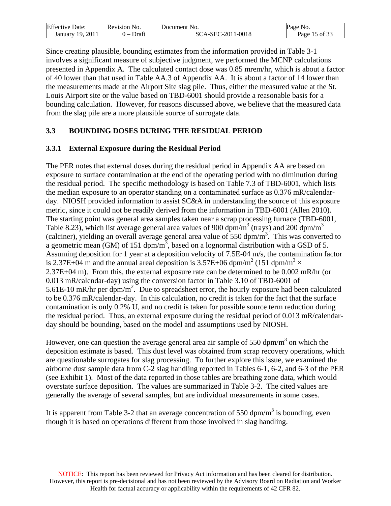| <b>Effective Date:</b> | Revision No.            | Document No.      | Page No.      |
|------------------------|-------------------------|-------------------|---------------|
| January 19, 2011       | Draft<br>$\overline{ }$ | SCA-SEC-2011-0018 | Page 15 of 33 |

Since creating plausible, bounding estimates from the information provided in Table 3-1 involves a significant measure of subjective judgment, we performed the MCNP calculations presented in Appendix A. The calculated contact dose was 0.85 mrem/hr, which is about a factor of 40 lower than that used in Table AA.3 of Appendix AA. It is about a factor of 14 lower than the measurements made at the Airport Site slag pile. Thus, either the measured value at the St. Louis Airport site or the value based on TBD-6001 should provide a reasonable basis for a bounding calculation. However, for reasons discussed above, we believe that the measured data from the slag pile are a more plausible source of surrogate data.

## <span id="page-14-0"></span>**3.3 BOUNDING DOSES DURING THE RESIDUAL PERIOD**

#### <span id="page-14-1"></span>**3.3.1 External Exposure during the Residual Period**

The PER notes that external doses during the residual period in Appendix AA are based on exposure to surface contamination at the end of the operating period with no diminution during the residual period. The specific methodology is based on Table 7.3 of TBD-6001, which lists the median exposure to an operator standing on a contaminated surface as 0.376 mR/calendarday. NIOSH provided information to assist SC&A in understanding the source of this exposure metric, since it could not be readily derived from the information in TBD-6001 (Allen 2010). The starting point was general area samples taken near a scrap processing furnace (TBD-6001, Table 8.23), which list average general area values of 900 dpm/m<sup>3</sup> (trays) and 200 dpm/m<sup>3</sup> (calciner), yielding an overall average general area value of 550 dpm/m3 . This was converted to a geometric mean (GM) of 151 dpm/m<sup>3</sup>, based on a lognormal distribution with a GSD of 5. Assuming deposition for 1 year at a deposition velocity of 7.5E-04 m/s, the contamination factor is 2.37E+04 m and the annual areal deposition is 3.57E+06 dpm/m<sup>2</sup> (151 dpm/m<sup>3</sup>  $\times$ 2.37E+04 m). From this, the external exposure rate can be determined to be 0.002 mR/hr (or 0.013 mR/calendar-day) using the conversion factor in Table 3.10 of TBD-6001 of 5.61E-10 mR/hr per dpm/m<sup>2</sup>. Due to spreadsheet error, the hourly exposure had been calculated to be 0.376 mR/calendar-day. In this calculation, no credit is taken for the fact that the surface contamination is only 0.2% U, and no credit is taken for possible source term reduction during the residual period. Thus, an external exposure during the residual period of 0.013 mR/calendarday should be bounding, based on the model and assumptions used by NIOSH.

However, one can question the average general area air sample of 550 dpm/m<sup>3</sup> on which the deposition estimate is based. This dust level was obtained from scrap recovery operations, which are questionable surrogates for slag processing. To further explore this issue, we examined the airborne dust sample data from C-2 slag handling reported in Tables 6-1, 6-2, and 6-3 of the PER (see Exhibit 1). Most of the data reported in those tables are breathing zone data, which would overstate surface deposition. The values are summarized in Table 3-2. The cited values are generally the average of several samples, but are individual measurements in some cases.

It is apparent from Table 3-2 that an average concentration of 550 dpm/m<sup>3</sup> is bounding, even though it is based on operations different from those involved in slag handling.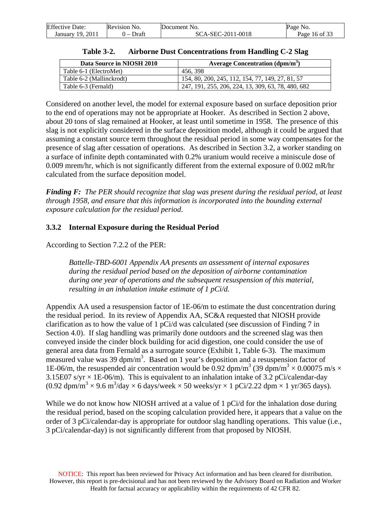| <b>Effective Date:</b> | Revision No.                      | Document No.      | Page No.      |
|------------------------|-----------------------------------|-------------------|---------------|
| January 19, 2011       | Draft<br>$\overline{\phantom{a}}$ | SCA-SEC-2011-0018 | Page 16 of 33 |

| Data Source in NIOSH 2010 | Average Concentration $(dpm/m^3)$                  |
|---------------------------|----------------------------------------------------|
| Table 6-1 (ElectroMet)    | 456, 398                                           |
| Table 6-2 (Mallinckrodt)  | 154, 80, 200, 245, 112, 154, 77, 149, 27, 81, 57   |
| Table 6-3 (Fernald)       | 247, 191, 255, 206, 224, 13, 309, 63, 78, 480, 682 |

| <b>Table 3-2.</b> |  |  | <b>Airborne Dust Concentrations from Handling C-2 Slag</b> |
|-------------------|--|--|------------------------------------------------------------|
|-------------------|--|--|------------------------------------------------------------|

Considered on another level, the model for external exposure based on surface deposition prior to the end of operations may not be appropriate at Hooker. As described in Section 2 above, about 20 tons of slag remained at Hooker, at least until sometime in 1958. The presence of this slag is not explicitly considered in the surface deposition model, although it could be argued that assuming a constant source term throughout the residual period in some way compensates for the presence of slag after cessation of operations. As described in Section 3.2, a worker standing on a surface of infinite depth contaminated with 0.2% uranium would receive a miniscule dose of 0.009 mrem/hr, which is not significantly different from the external exposure of 0.002 mR/hr calculated from the surface deposition model.

*Finding F: The PER should recognize that slag was present during the residual period, at least through 1958, and ensure that this information is incorporated into the bounding external exposure calculation for the residual period*.

## <span id="page-15-0"></span>**3.3.2 Internal Exposure during the Residual Period**

According to Section 7.2.2 of the PER:

*Battelle-TBD-6001 Appendix AA presents an assessment of internal exposures during the residual period based on the deposition of airborne contamination during one year of operations and the subsequent resuspension of this material, resulting in an inhalation intake estimate of 1 pCi/d.* 

Appendix AA used a resuspension factor of 1E-06/m to estimate the dust concentration during the residual period. In its review of Appendix AA, SC&A requested that NIOSH provide clarification as to how the value of 1 pCi/d was calculated (see discussion of Finding 7 in Section 4.0). If slag handling was primarily done outdoors and the screened slag was then conveyed inside the cinder block building for acid digestion, one could consider the use of general area data from Fernald as a surrogate source (Exhibit 1, Table 6-3). The maximum measured value was 39 dpm/m<sup>3</sup>. Based on 1 year's deposition and a resuspension factor of 1E-06/m, the resuspended air concentration would be 0.92 dpm/m<sup>3</sup> (39 dpm/m<sup>3</sup>  $\times$  0.00075 m/s  $\times$ 3.15E07 s/yr  $\times$  1E-06/m). This is equivalent to an inhalation intake of 3.2 pCi/calendar-day  $(0.92 \text{ dpm/m}^3 \times 9.6 \text{ m}^3/\text{day} \times 6 \text{ days/week} \times 50 \text{ weeks/yr} \times 1 \text{ pCi/2.22 dpm} \times 1 \text{ yr/365 days}).$ 

While we do not know how NIOSH arrived at a value of 1 pCi/d for the inhalation dose during the residual period, based on the scoping calculation provided here, it appears that a value on the order of 3 pCi/calendar-day is appropriate for outdoor slag handling operations. This value (i.e., 3 pCi/calendar-day) is not significantly different from that proposed by NIOSH.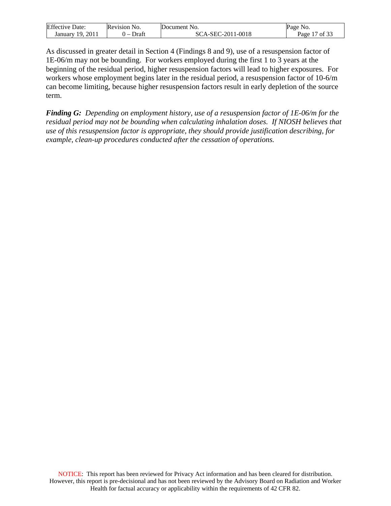| Effective            | Revision     | Jocument    | Paσe                             |
|----------------------|--------------|-------------|----------------------------------|
| Date:                | NO.          | NO.         |                                  |
| 201<br>10<br>January | Draft<br>. . | 2-2011-0018 | $\sqrt{0}$ of $2^{\circ}$<br>age |

As discussed in greater detail in Section 4 (Findings 8 and 9), use of a resuspension factor of 1E-06/m may not be bounding. For workers employed during the first 1 to 3 years at the beginning of the residual period, higher resuspension factors will lead to higher exposures. For workers whose employment begins later in the residual period, a resuspension factor of 10-6/m can become limiting, because higher resuspension factors result in early depletion of the source term.

*Finding G: Depending on employment history, use of a resuspension factor of 1E-06/m for the residual period may not be bounding when calculating inhalation doses. If NIOSH believes that use of this resuspension factor is appropriate, they should provide justification describing, for example, clean-up procedures conducted after the cessation of operations.*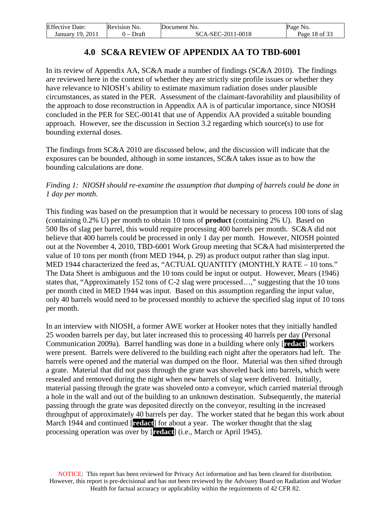| <b>Effective Date:</b> | Revision No.                      | Document No.      | Page No.      |
|------------------------|-----------------------------------|-------------------|---------------|
| January 19, 2011       | Draft<br>$\overline{\phantom{0}}$ | SCA-SEC-2011-0018 | Page 18 of 33 |

# **4.0 SC&A REVIEW OF APPENDIX AA TO TBD-6001**

<span id="page-17-0"></span>In its review of Appendix AA, SC&A made a number of findings (SC&A 2010). The findings are reviewed here in the context of whether they are strictly site profile issues or whether they have relevance to NIOSH's ability to estimate maximum radiation doses under plausible circumstances, as stated in the PER. Assessment of the claimant-favorability and plausibility of the approach to dose reconstruction in Appendix AA is of particular importance, since NIOSH concluded in the PER for SEC-00141 that use of Appendix AA provided a suitable bounding approach. However, see the discussion in Section 3.2 regarding which source(s) to use for bounding external doses.

The findings from SC&A 2010 are discussed below, and the discussion will indicate that the exposures can be bounded, although in some instances, SC&A takes issue as to how the bounding calculations are done.

### *Finding 1: NIOSH should re-examine the assumption that dumping of barrels could be done in 1 day per month.*

This finding was based on the presumption that it would be necessary to process 100 tons of slag (containing 0.2% U) per month to obtain 10 tons of **product** (containing 2% U). Based on 500 lbs of slag per barrel, this would require processing 400 barrels per month. SC&A did not believe that 400 barrels could be processed in only 1 day per month. However, NIOSH pointed out at the November 4, 2010, TBD-6001 Work Group meeting that SC&A had misinterpreted the value of 10 tons per month (from MED 1944, p. 29) as product output rather than slag input. MED 1944 characterized the feed as, "ACTUAL QUANTITY (MONTHLY RATE – 10 tons." The Data Sheet is ambiguous and the 10 tons could be input or output. However, Mears (1946) states that, "Approximately 152 tons of C-2 slag were processed…," suggesting that the 10 tons per month cited in MED 1944 was input. Based on this assumption regarding the input value, only 40 barrels would need to be processed monthly to achieve the specified slag input of 10 tons per month.

In an interview with NIOSH, a former AWE worker at Hooker notes that they initially handled 25 wooden barrels per day, but later increased this to processing 40 barrels per day (Personal Communication 2009a). Barrel handling was done in a building where only [**redact**] workers were present. Barrels were delivered to the building each night after the operators had left. The barrels were opened and the material was dumped on the floor. Material was then sifted through a grate. Material that did not pass through the grate was shoveled back into barrels, which were resealed and removed during the night when new barrels of slag were delivered. Initially, material passing through the grate was shoveled onto a conveyor, which carried material through a hole in the wall and out of the building to an unknown destination. Subsequently, the material passing through the grate was deposited directly on the conveyor, resulting in the increased throughput of approximately 40 barrels per day. The worker stated that he began this work about March 1944 and continued [**redact**] for about a year. The worker thought that the slag processing operation was over by [**redact**] (i.e., March or April 1945).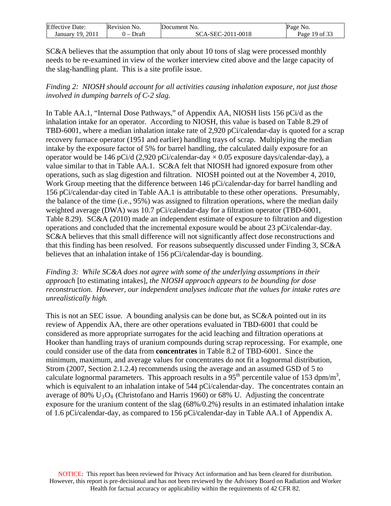| <b>Effective Date:</b> | Revision No. | Document No.      | Page No.      |
|------------------------|--------------|-------------------|---------------|
| -2011<br>January 19,   | Draft<br>. – | SCA-SEC-2011-0018 | Page 19 of 33 |

SC&A believes that the assumption that only about 10 tons of slag were processed monthly needs to be re-examined in view of the worker interview cited above and the large capacity of the slag-handling plant. This is a site profile issue.

*Finding 2: NIOSH should account for all activities causing inhalation exposure, not just those involved in dumping barrels of C-2 slag.* 

In Table AA.1, "Internal Dose Pathways," of Appendix AA, NIOSH lists 156 pCi/d as the inhalation intake for an operator. According to NIOSH, this value is based on Table 8.29 of TBD-6001, where a median inhalation intake rate of 2,920 pCi/calendar-day is quoted for a scrap recovery furnace operator (1951 and earlier) handling trays of scrap. Multiplying the median intake by the exposure factor of 5% for barrel handling, the calculated daily exposure for an operator would be 146 pCi/d (2,920 pCi/calendar-day  $\times$  0.05 exposure days/calendar-day), a value similar to that in Table AA.1. SC&A felt that NIOSH had ignored exposure from other operations, such as slag digestion and filtration. NIOSH pointed out at the November 4, 2010, Work Group meeting that the difference between 146 pCi/calendar-day for barrel handling and 156 pCi/calendar-day cited in Table AA.1 is attributable to these other operations. Presumably, the balance of the time (i.e., 95%) was assigned to filtration operations, where the median daily weighted average (DWA) was 10.7 pCi/calendar-day for a filtration operator (TBD-6001, Table 8.29). SC&A (2010) made an independent estimate of exposure to filtration and digestion operations and concluded that the incremental exposure would be about 23 pCi/calendar-day. SC&A believes that this small difference will not significantly affect dose reconstructions and that this finding has been resolved. For reasons subsequently discussed under Finding 3, SC&A believes that an inhalation intake of 156 pCi/calendar-day is bounding.

*Finding 3: While SC&A does not agree with some of the underlying assumptions in their approach* [to estimating intakes]*, the NIOSH approach appears to be bounding for dose reconstruction. However, our independent analyses indicate that the values for intake rates are unrealistically high.* 

This is not an SEC issue. A bounding analysis can be done but, as SC&A pointed out in its review of Appendix AA, there are other operations evaluated in TBD-6001 that could be considered as more appropriate surrogates for the acid leaching and filtration operations at Hooker than handling trays of uranium compounds during scrap reprocessing. For example, one could consider use of the data from **concentrates** in Table 8.2 of TBD-6001. Since the minimum, maximum, and average values for concentrates do not fit a lognormal distribution, Strom (2007, Section 2.1.2.4) recommends using the average and an assumed GSD of 5 to calculate lognormal parameters. This approach results in a  $95<sup>th</sup>$  percentile value of 153 dpm/m<sup>3</sup>, which is equivalent to an inhalation intake of 544 pCi/calendar-day. The concentrates contain an average of 80%  $U_3O_8$  (Christofano and Harris 1960) or 68% U. Adjusting the concentrate exposure for the uranium content of the slag (68%/0.2%) results in an estimated inhalation intake of 1.6 pCi/calendar-day, as compared to 156 pCi/calendar-day in Table AA.1 of Appendix A.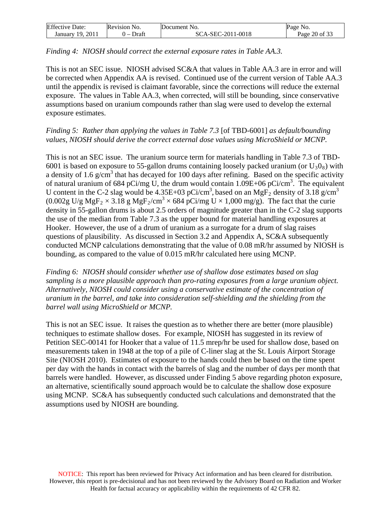| <b>Effective Date:</b> | Revision No. | Document No.      | Page No.          |
|------------------------|--------------|-------------------|-------------------|
| -2011                  | Draft        | SCA-SEC-2011-0018 | 20 of 33          |
| January 19,            |              |                   | Page <sup>1</sup> |

## *Finding 4: NIOSH should correct the external exposure rates in Table AA.3.*

This is not an SEC issue. NIOSH advised SC&A that values in Table AA.3 are in error and will be corrected when Appendix AA is revised. Continued use of the current version of Table AA.3 until the appendix is revised is claimant favorable, since the corrections will reduce the external exposure. The values in Table AA.3, when corrected, will still be bounding, since conservative assumptions based on uranium compounds rather than slag were used to develop the external exposure estimates.

## *Finding 5: Rather than applying the values in Table 7.3* [of TBD-6001] *as default/bounding values, NIOSH should derive the correct external dose values using MicroShield or MCNP.*

This is not an SEC issue. The uranium source term for materials handling in Table 7.3 of TBD-6001 is based on exposure to 55-gallon drums containing loosely packed uranium (or  $U_3O_8$ ) with a density of 1.6  $g/cm<sup>3</sup>$  that has decayed for 100 days after refining. Based on the specific activity of natural uranium of 684 pCi/mg U, the drum would contain  $1.09E+06$  pCi/cm<sup>3</sup>. The equivalent U content in the C-2 slag would be 4.35E+03 pCi/cm<sup>3</sup>, based on an MgF<sub>2</sub> density of 3.18 g/cm<sup>3</sup>  $(0.002g \text{ U/g MgF}_2 \times 3.18 g \text{ MgF}_2/\text{cm}^3 \times 684 \text{ pCi/mg U} \times 1,000 \text{ mg/g}).$  The fact that the curie density in 55-gallon drums is about 2.5 orders of magnitude greater than in the C-2 slag supports the use of the median from Table 7.3 as the upper bound for material handling exposures at Hooker. However, the use of a drum of uranium as a surrogate for a drum of slag raises questions of plausibility. As discussed in Section 3.2 and Appendix A, SC&A subsequently conducted MCNP calculations demonstrating that the value of 0.08 mR/hr assumed by NIOSH is bounding, as compared to the value of 0.015 mR/hr calculated here using MCNP.

*Finding 6: NIOSH should consider whether use of shallow dose estimates based on slag sampling is a more plausible approach than pro-rating exposures from a large uranium object. Alternatively, NIOSH could consider using a conservative estimate of the concentration of uranium in the barrel, and take into consideration self-shielding and the shielding from the barrel wall using MicroShield or MCNP.* 

This is not an SEC issue. It raises the question as to whether there are better (more plausible) techniques to estimate shallow doses. For example, NIOSH has suggested in its review of Petition SEC-00141 for Hooker that a value of 11.5 mrep/hr be used for shallow dose, based on measurements taken in 1948 at the top of a pile of C-liner slag at the St. Louis Airport Storage Site (NIOSH 2010). Estimates of exposure to the hands could then be based on the time spent per day with the hands in contact with the barrels of slag and the number of days per month that barrels were handled. However, as discussed under Finding 5 above regarding photon exposure, an alternative, scientifically sound approach would be to calculate the shallow dose exposure using MCNP. SC&A has subsequently conducted such calculations and demonstrated that the assumptions used by NIOSH are bounding.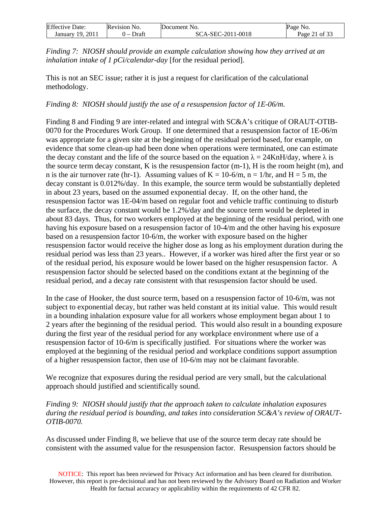| <b>Effective Date:</b> | Revision No.                      | Document No.      | Page No.        |
|------------------------|-----------------------------------|-------------------|-----------------|
| 2011<br>19.<br>January | Draft<br>$\overline{\phantom{0}}$ | SCA-SEC-2011-0018 | of $33$<br>Page |

*Finding 7: NIOSH should provide an example calculation showing how they arrived at an inhalation intake of 1 pCi/calendar-day* [for the residual period].

This is not an SEC issue; rather it is just a request for clarification of the calculational methodology.

*Finding 8: NIOSH should justify the use of a resuspension factor of 1E-06/m.* 

Finding 8 and Finding 9 are inter-related and integral with SC&A's critique of ORAUT-OTIB-0070 for the Procedures Work Group. If one determined that a resuspension factor of 1E-06/m was appropriate for a given site at the beginning of the residual period based, for example, on evidence that some clean-up had been done when operations were terminated, one can estimate the decay constant and the life of the source based on the equation  $\lambda = 24 \text{KnH/day}$ , where  $\lambda$  is the source term decay constant, K is the resuspension factor (m-1), H is the room height (m), and n is the air turnover rate (hr-1). Assuming values of  $K = 10-6/m$ ,  $n = 1/hr$ , and  $H = 5 m$ , the decay constant is 0.012%/day. In this example, the source term would be substantially depleted in about 23 years, based on the assumed exponential decay. If, on the other hand, the resuspension factor was 1E-04/m based on regular foot and vehicle traffic continuing to disturb the surface, the decay constant would be 1.2%/day and the source term would be depleted in about 83 days. Thus, for two workers employed at the beginning of the residual period, with one having his exposure based on a resuspension factor of 10-4/m and the other having his exposure based on a resuspension factor 10-6/m, the worker with exposure based on the higher resuspension factor would receive the higher dose as long as his employment duration during the residual period was less than 23 years.. However, if a worker was hired after the first year or so of the residual period, his exposure would be lower based on the higher resuspension factor. A resuspension factor should be selected based on the conditions extant at the beginning of the residual period, and a decay rate consistent with that resuspension factor should be used.

In the case of Hooker, the dust source term, based on a resuspension factor of 10-6/m, was not subject to exponential decay, but rather was held constant at its initial value. This would result in a bounding inhalation exposure value for all workers whose employment began about 1 to 2 years after the beginning of the residual period. This would also result in a bounding exposure during the first year of the residual period for any workplace environment where use of a resuspension factor of 10-6/m is specifically justified. For situations where the worker was employed at the beginning of the residual period and workplace conditions support assumption of a higher resuspension factor, then use of 10-6/m may not be claimant favorable.

We recognize that exposures during the residual period are very small, but the calculational approach should justified and scientifically sound.

*Finding 9: NIOSH should justify that the approach taken to calculate inhalation exposures during the residual period is bounding, and takes into consideration SC&A's review of ORAUT-OTIB-0070.* 

As discussed under Finding 8, we believe that use of the source term decay rate should be consistent with the assumed value for the resuspension factor. Resuspension factors should be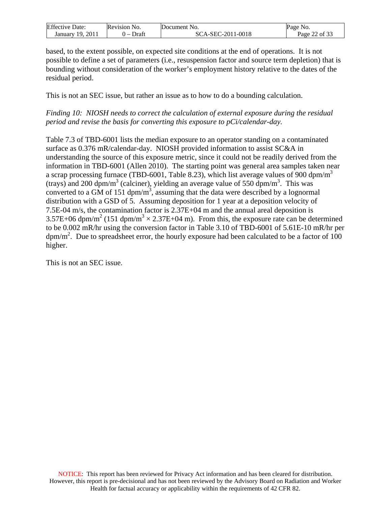| <b>Effective Date:</b> | Revision No. | Document No.      | NO.<br>Page   |
|------------------------|--------------|-------------------|---------------|
| 2011<br>19.<br>Januarv | Draft        | SCA-SEC-2011-0018 | Page 22 of 33 |

based, to the extent possible, on expected site conditions at the end of operations. It is not possible to define a set of parameters (i.e., resuspension factor and source term depletion) that is bounding without consideration of the worker's employment history relative to the dates of the residual period.

This is not an SEC issue, but rather an issue as to how to do a bounding calculation.

*Finding 10: NIOSH needs to correct the calculation of external exposure during the residual period and revise the basis for converting this exposure to pCi/calendar-day.* 

Table 7.3 of TBD-6001 lists the median exposure to an operator standing on a contaminated surface as 0.376 mR/calendar-day. NIOSH provided information to assist SC&A in understanding the source of this exposure metric, since it could not be readily derived from the information in TBD-6001 (Allen 2010). The starting point was general area samples taken near a scrap processing furnace (TBD-6001, Table 8.23), which list average values of 900 dpm/m<sup>3</sup> (trays) and 200 dpm/m<sup>3</sup> (calciner), yielding an average value of 550 dpm/m<sup>3</sup>. This was converted to a GM of 151 dpm/ $m^3$ , assuming that the data were described by a lognormal distribution with a GSD of 5. Assuming deposition for 1 year at a deposition velocity of 7.5E-04 m/s, the contamination factor is 2.37E+04 m and the annual areal deposition is 3.57E+06 dpm/m<sup>2</sup> (151 dpm/m<sup>3</sup>  $\times$  2.37E+04 m). From this, the exposure rate can be determined to be 0.002 mR/hr using the conversion factor in Table 3.10 of TBD-6001 of 5.61E-10 mR/hr per  $dpm/m<sup>2</sup>$ . Due to spreadsheet error, the hourly exposure had been calculated to be a factor of 100 higher.

This is not an SEC issue.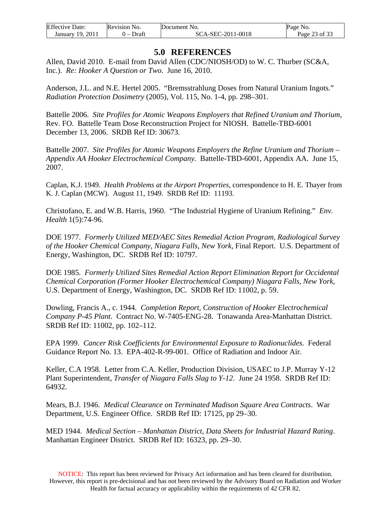| <b>Effective Date:</b> | <b>Revision No.</b> | Document No.      | Page No. |
|------------------------|---------------------|-------------------|----------|
| 2011                   | Draft               | SCA-SEC-2011-0018 | of $33$  |
| January 19,            |                     |                   | Page     |

# **5.0 REFERENCES**

<span id="page-22-0"></span>Allen, David 2010. E-mail from David Allen (CDC/NIOSH/OD) to W. C. Thurber (SC&A, Inc.). *Re: Hooker A Question or Two*. June 16, 2010.

Anderson, J.L. and N.E. Hertel 2005. "Bremsstrahlung Doses from Natural Uranium Ingots." *Radiation Protection Dosimetry* (2005), Vol. 115, No. 1-4, pp. 298–301.

Battelle 2006. *Site Profiles for Atomic Weapons Employers that Refined Uranium and Thorium*, Rev. FO. Battelle Team Dose Reconstruction Project for NIOSH. Battelle-TBD-6001 December 13, 2006. SRDB Ref ID: 30673.

Battelle 2007. *Site Profiles for Atomic Weapons Employers the Refine Uranium and Thorium – Appendix AA Hooker Electrochemical Company.* Battelle-TBD-6001, Appendix AA. June 15, 2007.

Caplan, K.J. 1949. *Health Problems at the Airport Properties*, correspondence to H. E. Thayer from K. J. Caplan (MCW). August 11, 1949. SRDB Ref ID: 11193.

Christofano, E. and W.B. Harris, 1960. "The Industrial Hygiene of Uranium Refining." *Env. Health* 1(5):74-96.

DOE 1977. *Formerly Utilized MED/AEC Sites Remedial Action Program, Radiological Survey of the Hooker Chemical Company, Niagara Falls, New York*, Final Report. U.S. Department of Energy, Washington, DC. SRDB Ref ID: 10797.

DOE 1985. *Formerly Utilized Sites Remedial Action Report Elimination Report for Occidental Chemical Corporation (Former Hooker Electrochemical Company) Niagara Falls, New York,*  U.S. Department of Energy, Washington, DC. SRDB Ref ID: 11002, p. 59.

Dowling, Francis A., c. 1944. *Completion Report, Construction of Hooker Electrochemical Company P-45 Plant.* Contract No. W-7405-ENG-28. Tonawanda Area-Manhattan District. SRDB Ref ID: 11002, pp. 102–112.

EPA 1999. *Cancer Risk Coefficients for Environmental Exposure to Radionuclides.* Federal Guidance Report No. 13. EPA-402-R-99-001. Office of Radiation and Indoor Air.

Keller, C.A 1958. Letter from C.A. Keller, Production Division, USAEC to J.P. Murray Y-12 Plant Superintendent, *Transfer of Niagara Falls Slag to Y-12*. June 24 1958. SRDB Ref ID: 64932.

Mears, B.J. 1946. *Medical Clearance on Terminated Madison Square Area Contracts*. War Department, U.S. Engineer Office. SRDB Ref ID: 17125, pp 29–30.

MED 1944. *Medical Section – Manhattan District, Data Sheets for Industrial Hazard Rating*. Manhattan Engineer District. SRDB Ref ID: 16323, pp. 29–30.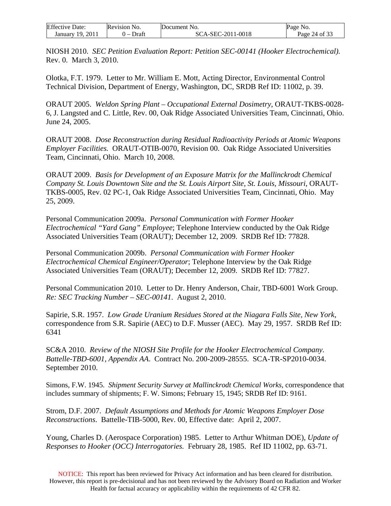| <b>Effective Date:</b> | Revision No.                      | Document No.      | No.<br>Page   |
|------------------------|-----------------------------------|-------------------|---------------|
| 2011<br>January 19.    | Draft<br>$\overline{\phantom{0}}$ | SCA-SEC-2011-0018 | Page 24 of 33 |

NIOSH 2010. *SEC Petition Evaluation Report: Petition SEC-00141 (Hooker Electrochemical).* Rev. 0. March 3, 2010.

Olotka, F.T. 1979. Letter to Mr. William E. Mott, Acting Director, Environmental Control Technical Division, Department of Energy, Washington, DC, SRDB Ref ID: 11002, p. 39.

ORAUT 2005. *Weldon Spring Plant – Occupational External Dosimetry*, ORAUT-TKBS-0028- 6, J. Langsted and C. Little, Rev. 00, Oak Ridge Associated Universities Team, Cincinnati, Ohio. June 24, 2005.

ORAUT 2008. *Dose Reconstruction during Residual Radioactivity Periods at Atomic Weapons Employer Facilities.* ORAUT-OTIB-0070, Revision 00. Oak Ridge Associated Universities Team, Cincinnati, Ohio. March 10, 2008.

ORAUT 2009. *Basis for Development of an Exposure Matrix for the Mallinckrodt Chemical Company St. Louis Downtown Site and the St. Louis Airport Site, St. Louis, Missouri*, ORAUT-TKBS-0005, Rev. 02 PC-1, Oak Ridge Associated Universities Team, Cincinnati, Ohio. May 25, 2009.

Personal Communication 2009a. *Personal Communication with Former Hooker Electrochemical "Yard Gang" Employee*; Telephone Interview conducted by the Oak Ridge Associated Universities Team (ORAUT); December 12, 2009. SRDB Ref ID: 77828.

Personal Communication 2009b. *Personal Communication with Former Hooker Electrochemical Chemical Engineer/Operator*; Telephone Interview by the Oak Ridge Associated Universities Team (ORAUT); December 12, 2009. SRDB Ref ID: 77827.

Personal Communication 2010. Letter to Dr. Henry Anderson, Chair, TBD-6001 Work Group. *Re: SEC Tracking Number – SEC-00141*. August 2, 2010.

Sapirie, S.R. 1957. *Low Grade Uranium Residues Stored at the Niagara Falls Site, New York*, correspondence from S.R. Sapirie (AEC) to D.F. Musser (AEC). May 29, 1957. SRDB Ref ID: 6341

SC&A 2010. *Review of the NIOSH Site Profile for the Hooker Electrochemical Company. Battelle-TBD-6001, Appendix AA*. Contract No. 200-2009-28555. SCA-TR-SP2010-0034. September 2010.

Simons, F.W. 1945. *Shipment Security Survey at Mallinckrodt Chemical Works*, correspondence that includes summary of shipments; F. W. Simons; February 15, 1945; SRDB Ref ID: 9161.

Strom, D.F. 2007. *Default Assumptions and Methods for Atomic Weapons Employer Dose Reconstructions*. Battelle-TIB-5000, Rev. 00, Effective date: April 2, 2007.

Young, Charles D. (Aerospace Corporation) 1985. Letter to Arthur Whitman DOE), *Update of Responses to Hooker (OCC) Interrogatories.* February 28, 1985. Ref ID 11002, pp. 63-71.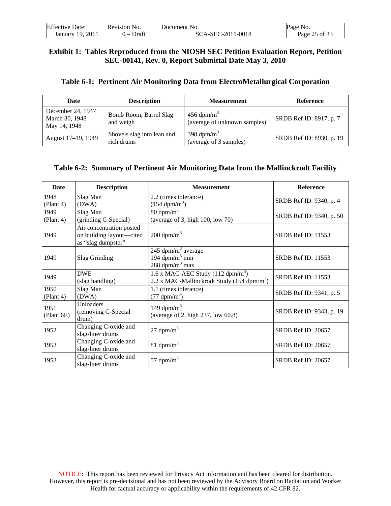| <b>Effective Date:</b> | Revision No.          | Document No.      | Page No.      |
|------------------------|-----------------------|-------------------|---------------|
| January 19, 2011       | Draft<br>$\mathbf{I}$ | SCA-SEC-2011-0018 | Page 25 of 33 |

### **Exhibit 1: Tables Reproduced from the NIOSH SEC Petition Evaluation Report, Petition SEC-00141, Rev. 0, Report Submittal Date May 3, 2010**

| Table 6-1: Pertinent Air Monitoring Data from ElectroMetallurgical Corporation |  |  |
|--------------------------------------------------------------------------------|--|--|
|                                                                                |  |  |

| <b>Date</b>                                         | <b>Description</b>                       | <b>Measurement</b>                                       | Reference                |
|-----------------------------------------------------|------------------------------------------|----------------------------------------------------------|--------------------------|
| December 24, 1947<br>March 30, 1948<br>May 14, 1948 | Bomb Room, Barrel Slag<br>and weigh      | $456$ dpm/m <sup>3</sup><br>(average of unknown samples) | SRDB Ref ID: 8917, p. 7  |
| August 17-19, 1949                                  | Shovels slag into lean and<br>rich drums | 398 dpm/ $m3$<br>(average of 3 samples)                  | SRDB Ref ID: 8930, p. 19 |

#### **Table 6-2: Summary of Pertinent Air Monitoring Data from the Mallinckrodt Facility**

| Date               | <b>Description</b>                                                         | <b>Measurement</b>                                                                                    | Reference                 |
|--------------------|----------------------------------------------------------------------------|-------------------------------------------------------------------------------------------------------|---------------------------|
| 1948               | Slag Man                                                                   | 2.2 (times tolerance)                                                                                 | SRDB Ref ID: 9340, p. 4   |
| (Plant 4)          | (DWA)                                                                      | $(154 \text{ dpm/m}^3)$                                                                               |                           |
| 1949               | Slag Man                                                                   | $80 \text{ dpm/m}^3$                                                                                  | SRDB Ref ID: 9340, p. 50  |
| (Plant 4)          | (grinding C-Special)                                                       | (average of 3, high $100$ , low $70$ )                                                                |                           |
| 1949               | Air concentration posted<br>on building layout-cited<br>as "slag dumpster" | $200$ dpm/m <sup>3</sup>                                                                              | <b>SRDB Ref ID: 11553</b> |
| 1949               | Slag Grinding                                                              | 245 dpm/ $m3$ average<br>194 $dpm/m^3$ min<br>288 dpm/m <sup>3</sup> max                              | <b>SRDB Ref ID: 11553</b> |
| 1949               | <b>DWE</b><br>(slag handling)                                              | 1.6 x MAC-AEC Study $(112 \text{ dpm/m}^3)$<br>2.2 x MAC-Mallinckrodt Study (154 dpm/m <sup>3</sup> ) | <b>SRDB Ref ID: 11553</b> |
| 1950<br>(Plant 4)  | Slag Man<br>(DWA)                                                          | 1.1 (times tolerance)<br>$(77 \text{ dpm/m}^3)$                                                       | SRDB Ref ID: 9341, p. 5   |
| 1951<br>(Plant 6E) | Unloaders<br>(removing C-Special<br>drum)                                  | 149 dpm/ $m^3$<br>(average of 2, high 237, low 60.8)                                                  | SRDB Ref ID: 9343, p. 19  |
| 1952               | Changing C-oxide and<br>slag-liner drums                                   | $27 \text{ dpm/m}^3$                                                                                  | SRDB Ref ID: 20657        |
| 1953               | Changing C-oxide and<br>slag-liner drums                                   | 81 dpm/ $m^3$                                                                                         | SRDB Ref ID: 20657        |
| 1953               | Changing C-oxide and<br>slag-liner drums                                   | 57 dpm/ $m^3$                                                                                         | SRDB Ref ID: 20657        |

NOTICE: This report has been reviewed for Privacy Act information and has been cleared for distribution. However, this report is pre-decisional and has not been reviewed by the Advisory Board on Radiation and Worker Health for factual accuracy or applicability within the requirements of 42 CFR 82.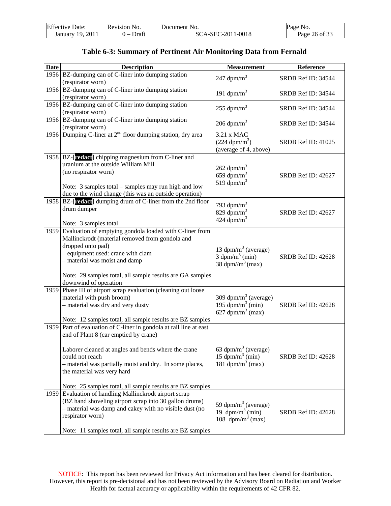| <b>Effective Date:</b> | Revision No. | Document No.      | Page No.      |
|------------------------|--------------|-------------------|---------------|
| January 19, 2011       | ) – Draft    | SCA-SEC-2011-0018 | Page 26 of 33 |

| <b>Date</b> | <b>Description</b>                                                 | <b>Measurement</b>                                                   | Reference          |
|-------------|--------------------------------------------------------------------|----------------------------------------------------------------------|--------------------|
|             | 1956 BZ-dumping can of C-liner into dumping station                |                                                                      |                    |
|             | (respirator worn)                                                  | 247 $dpm/m^3$                                                        | SRDB Ref ID: 34544 |
|             | 1956 BZ-dumping can of C-liner into dumping station                |                                                                      |                    |
|             | (respirator worn)                                                  | 191 $dpm/m^3$                                                        | SRDB Ref ID: 34544 |
|             | 1956 BZ-dumping can of C-liner into dumping station                |                                                                      |                    |
|             | (respirator worn)                                                  | 255 dpm/ $m3$                                                        | SRDB Ref ID: 34544 |
|             | 1956 BZ-dumping can of C-liner into dumping station                |                                                                      |                    |
|             | (respirator worn)                                                  | $206$ dpm/m <sup>3</sup>                                             | SRDB Ref ID: 34544 |
|             | 1956 Dumping C-liner at $2nd$ floor dumping station, dry area      | 3.21 x MAC                                                           |                    |
|             |                                                                    | $(224 \text{ dpm/m}^3)$                                              | SRDB Ref ID: 41025 |
|             |                                                                    | (average of 4, above)                                                |                    |
| 1958        | BZ-[redact] chipping magnesium from C-liner and                    |                                                                      |                    |
|             | uranium at the outside William Mill                                |                                                                      |                    |
|             | (no respirator worn)                                               | $262$ dpm/m <sup>3</sup>                                             |                    |
|             |                                                                    | 659 dpm/ $m^3$                                                       | SRDB Ref ID: 42627 |
|             | Note: 3 samples total - samples may run high and low               | 519 dpm/m <sup>3</sup>                                               |                    |
|             | due to the wind change (this was an outside operation)             |                                                                      |                    |
|             | 1958 BZ-[redact] dumping drum of C-liner from the 2nd floor        |                                                                      |                    |
|             | drum dumper                                                        | 793 dpm/ $m^3$                                                       |                    |
|             |                                                                    | 829 dpm/ $m^3$                                                       | SRDB Ref ID: 42627 |
|             | Note: 3 samples total                                              | $424$ dpm/m <sup>3</sup>                                             |                    |
|             | 1959 Evaluation of emptying gondola loaded with C-liner from       |                                                                      |                    |
|             | Mallinckrodt (material removed from gondola and                    |                                                                      |                    |
|             | dropped onto pad)                                                  |                                                                      |                    |
|             | - equipment used: crane with clam                                  | 13 dpm/m <sup>3</sup> (average)                                      |                    |
|             | - material was moist and damp                                      | $3 \text{ dpm/m}^3 \text{ (min)}$                                    | SRDB Ref ID: 42628 |
|             |                                                                    | 38 dpm//m <sup>3</sup> (max)                                         |                    |
|             | Note: 29 samples total, all sample results are GA samples          |                                                                      |                    |
|             | downwind of operation                                              |                                                                      |                    |
|             | 1959 Phase III of airport scrap evaluation (cleaning out loose     |                                                                      |                    |
|             | material with push broom)                                          | 309 dpm/m <sup>3</sup> (average)                                     |                    |
|             | - material was dry and very dusty                                  | 195 dpm/m <sup>3</sup> (min)                                         | SRDB Ref ID: 42628 |
|             |                                                                    | 627 dpm/m <sup>3</sup> (max)                                         |                    |
|             | Note: 12 samples total, all sample results are BZ samples          |                                                                      |                    |
|             | 1959 Part of evaluation of C-liner in gondola at rail line at east |                                                                      |                    |
|             | end of Plant 8 (car emptied by crane)                              |                                                                      |                    |
|             |                                                                    |                                                                      |                    |
|             | Laborer cleaned at angles and bends where the crane                | 63 dpm/m <sup>3</sup> (average)                                      |                    |
|             | could not reach                                                    | 15 dpm/m <sup>3</sup> (min)                                          | SRDB Ref ID: 42628 |
|             | - material was partially moist and dry. In some places,            | 181 dpm/m <sup>3</sup> (max)                                         |                    |
|             | the material was very hard                                         |                                                                      |                    |
|             |                                                                    |                                                                      |                    |
|             | Note: 25 samples total, all sample results are BZ samples          |                                                                      |                    |
| 1959        | Evaluation of handling Mallinckrodt airport scrap                  |                                                                      |                    |
|             | (BZ hand shoveling airport scrap into 30 gallon drums)             |                                                                      |                    |
|             | - material was damp and cakey with no visible dust (no             | 59 dpm/m <sup>3</sup> (average)<br>19 $\text{dpm/m}^3 \text{ (min)}$ | SRDB Ref ID: 42628 |
|             | respirator worn)                                                   | 108 $dpm/m^3$ (max)                                                  |                    |
|             |                                                                    |                                                                      |                    |
|             | Note: 11 samples total, all sample results are BZ samples          |                                                                      |                    |

## **Table 6-3: Summary of Pertinent Air Monitoring Data from Fernald**

NOTICE: This report has been reviewed for Privacy Act information and has been cleared for distribution. However, this report is pre-decisional and has not been reviewed by the Advisory Board on Radiation and Worker Health for factual accuracy or applicability within the requirements of 42 CFR 82.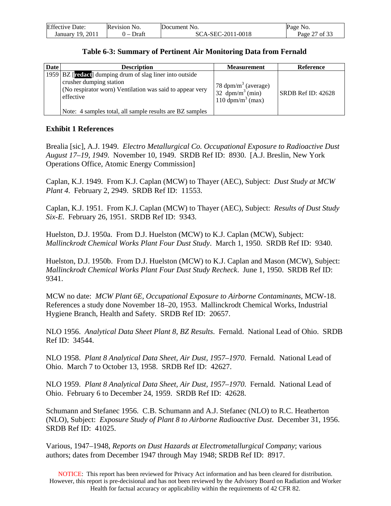| <b>Effective Date:</b> | Revision No.                      | Document No.      | Page No.           |
|------------------------|-----------------------------------|-------------------|--------------------|
| January 19, 2011       | Draft<br>$\overline{\phantom{0}}$ | SCA-SEC-2011-0018 | 7 of 33<br>Page 2. |

#### **Table 6-3: Summary of Pertinent Air Monitoring Data from Fernald**

| <b>Date</b> | <b>Description</b>                                                                                                                                           | <b>Measurement</b>                                                                                 | <b>Reference</b>   |
|-------------|--------------------------------------------------------------------------------------------------------------------------------------------------------------|----------------------------------------------------------------------------------------------------|--------------------|
|             | 1959 BZ [redact] dumping drum of slag liner into outside<br>crusher dumping station<br>(No respirator worn) Ventilation was said to appear very<br>effective | 78 $dpm/m3$ (average)<br>$32 \text{ dpm/m}^3 \text{ (min)}$<br>$110 \text{ dpm/m}^3 \text{ (max)}$ | SRDB Ref ID: 42628 |
|             | Note: 4 samples total, all sample results are BZ samples                                                                                                     |                                                                                                    |                    |

## **Exhibit 1 References**

Brealia [sic], A.J. 1949. *Electro Metallurgical Co. Occupational Exposure to Radioactive Dust August 17–19, 1949*. November 10, 1949. SRDB Ref ID: 8930. [A.J. Breslin, New York Operations Office, Atomic Energy Commission]

Caplan, K.J. 1949. From K.J. Caplan (MCW) to Thayer (AEC), Subject: *Dust Study at MCW Plant 4*. February 2, 2949. SRDB Ref ID: 11553.

Caplan, K.J. 1951. From K.J. Caplan (MCW) to Thayer (AEC), Subject: *Results of Dust Study Six-E*. February 26, 1951. SRDB Ref ID: 9343.

Huelston, D.J. 1950a. From D.J. Huelston (MCW) to K.J. Caplan (MCW), Subject: *Mallinckrodt Chemical Works Plant Four Dust Study*. March 1, 1950. SRDB Ref ID: 9340.

Huelston, D.J. 1950b. From D.J. Huelston (MCW) to K.J. Caplan and Mason (MCW), Subject: *Mallinckrodt Chemical Works Plant Four Dust Study Recheck*. June 1, 1950. SRDB Ref ID: 9341.

MCW no date: *MCW Plant 6E, Occupational Exposure to Airborne Contaminants*, MCW-18. References a study done November 18–20, 1953. Mallinckrodt Chemical Works, Industrial Hygiene Branch, Health and Safety. SRDB Ref ID: 20657.

NLO 1956. *Analytical Data Sheet Plant 8, BZ Results*. Fernald. National Lead of Ohio. SRDB Ref ID: 34544.

NLO 1958. *Plant 8 Analytical Data Sheet, Air Dust, 1957–1970*. Fernald. National Lead of Ohio. March 7 to October 13, 1958. SRDB Ref ID: 42627.

NLO 1959. *Plant 8 Analytical Data Sheet, Air Dust, 1957–1970*. Fernald. National Lead of Ohio. February 6 to December 24, 1959. SRDB Ref ID: 42628.

Schumann and Stefanec 1956. C.B. Schumann and A.J. Stefanec (NLO) to R.C. Heatherton (NLO), Subject: *Exposure Study of Plant 8 to Airborne Radioactive Dust*. December 31, 1956. SRDB Ref ID: 41025.

Various, 1947–1948, *Reports on Dust Hazards at Electrometallurgical Company*; various authors; dates from December 1947 through May 1948; SRDB Ref ID: 8917.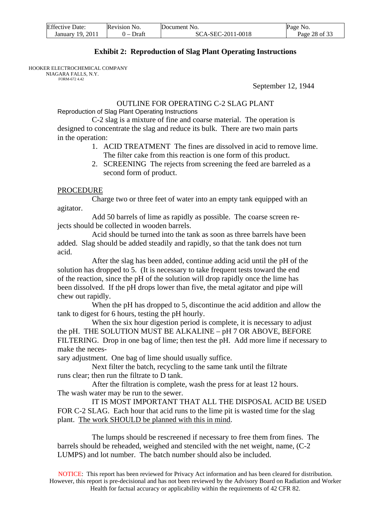| <b>Effective Date:</b> | Revision No. | Document No.      | Page No.      |
|------------------------|--------------|-------------------|---------------|
| January 19, 2011       | 0 – Draft    | SCA-SEC-2011-0018 | Page 28 of 33 |

#### **Exhibit 2: Reproduction of Slag Plant Operating Instructions**

HOOKER ELECTROCHEMICAL COMPANY

NI AGARA FALLS, N.Y. FORM-672 4.42

September 12, 1944

# OUTLINE FOR OPERATING C-2 SLAG PLANT

Reproduction of Slag Plant Operating Instructions

 C-2 slag is a mixture of fine and coarse material. The operation is designed to concentrate the slag and reduce its bulk. There are two main parts in the operation:

- 1. ACID TREATMENT The fines are dissolved in acid to remove lime. The filter cake from this reaction is one form of this product.
- 2. SCREENING The rejects from screening the feed are barreled as a second form of product.

#### **PROCEDURE**

 Charge two or three feet of water into an empty tank equipped with an agitator.

 Add 50 barrels of lime as rapidly as possible. The coarse screen rejects should be collected in wooden barrels.

 Acid should be turned into the tank as soon as three barrels have been added. Slag should be added steadily and rapidly, so that the tank does not turn acid.

 After the slag has been added, continue adding acid until the pH of the solution has dropped to 5. (It is necessary to take frequent tests toward the end of the reaction, since the pH of the solution will drop rapidly once the lime has been dissolved. If the pH drops lower than five, the metal agitator and pipe will chew out rapidly.

 When the pH has dropped to 5, discontinue the acid addition and allow the tank to digest for 6 hours, testing the pH hourly.

 When the six hour digestion period is complete, it is necessary to adjust the pH. THE SOLUTION MUST BE ALKALINE – pH 7 OR ABOVE, BEFORE FILTERING. Drop in one bag of lime; then test the pH. Add more lime if necessary to make the neces-

sary adjustment. One bag of lime should usually suffice.

 Next filter the batch, recycling to the same tank until the filtrate runs clear; then run the filtrate to D tank.

 After the filtration is complete, wash the press for at least 12 hours. The wash water may be run to the sewer.

 IT IS MOST IMPORTANT THAT ALL THE DISPOSAL ACID BE USED FOR C-2 SLAG. Each hour that acid runs to the lime pit is wasted time for the slag plant. The work SHOULD be planned with this in mind.

 The lumps should be rescreened if necessary to free them from fines. The barrels should be reheaded, weighed and stenciled with the net weight, name, (C-2 LUMPS) and lot number. The batch number should also be included.

NOTICE: This report has been reviewed for Privacy Act information and has been cleared for distribution. However, this report is pre-decisional and has not been reviewed by the Advisory Board on Radiation and Worker Health for factual accuracy or applicability within the requirements of 42 CFR 82.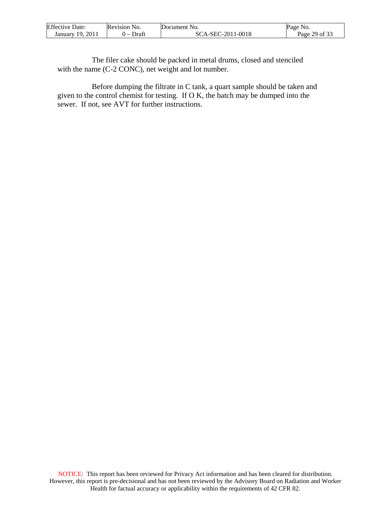| <b>Effective Date:</b> | <b>Revision No.</b>     | Document No.      | Page No.      |
|------------------------|-------------------------|-------------------|---------------|
| January 19, 2011       | Draft<br>$\overline{ }$ | SCA-SEC-2011-0018 | Page 29 of 33 |

 The filer cake should be packed in metal drums, closed and stenciled with the name (C-2 CONC), net weight and lot number.

 Before dumping the filtrate in C tank, a quart sample should be taken and given to the control chemist for testing. If O K, the batch may be dumped into the sewer. If not, see AVT for further instructions.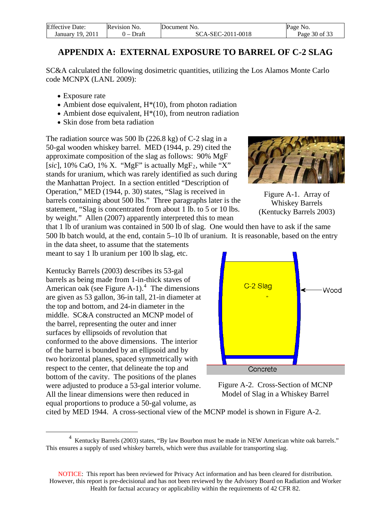| <b>Effective Date:</b> | Revision No. | Document No.      | Page No.      |
|------------------------|--------------|-------------------|---------------|
| -2011<br>January 19.   | Draft<br>. – | SCA-SEC-2011-0018 | Page 30 of 33 |

# **APPENDIX A: EXTERNAL EXPOSURE TO BARREL OF C-2 SLAG**

<span id="page-29-0"></span>SC&A calculated the following dosimetric quantities, utilizing the Los Alamos Monte Carlo code MCNPX (LANL 2009):

- Exposure rate
- Ambient dose equivalent,  $H^*(10)$ , from photon radiation
- Ambient dose equivalent,  $H^*(10)$ , from neutron radiation
- Skin dose from beta radiation

The radiation source was 500 lb (226.8 kg) of C-2 slag in a 50-gal wooden whiskey barrel. MED (1944, p. 29) cited the approximate composition of the slag as follows: 90% MgF [ $sic$ ], 10% CaO, 1% X. "MgF" is actually MgF<sub>2</sub>, while "X" stands for uranium, which was rarely identified as such during the Manhattan Project. In a section entitled "Description of Operation," MED (1944, p. 30) states, "Slag is received in barrels containing about 500 lbs." Three paragraphs later is the statement, "Slag is concentrated from about 1 lb. to 5 or 10 lbs. by weight." Allen (2007) apparently interpreted this to mean

that 1 lb of uranium was contained in 500 lb of slag. One would then have to ask if the same 500 lb batch would, at the end, contain 5–10 lb of uranium. It is reasonable, based on the entry

in the data sheet, to assume that the statements meant to say 1 lb uranium per 100 lb slag, etc.

Kentucky Barrels (2003) describes its 53-gal barrels as being made from 1-in-thick staves of American oak (see Figure A-1). $4$  The dimensions are given as 53 gallon, 36-in tall, 21-in diameter at the top and bottom, and 24-in diameter in the middle. SC&A constructed an MCNP model of the barrel, representing the outer and inner surfaces by ellipsoids of revolution that conformed to the above dimensions. The interior of the barrel is bounded by an ellipsoid and by two horizontal planes, spaced symmetrically with respect to the center, that delineate the top and bottom of the cavity. The positions of the planes were adjusted to produce a 53-gal interior volume. All the linear dimensions were then reduced in equal proportions to produce a 50-gal volume, as

 $\overline{a}$ 



Figure A-2. Cross-Section of MCNP Model of Slag in a Whiskey Barrel

cited by MED 1944. A cross-sectional view of the MCNP model is shown in Figure A-2.



Figure A-1. Array of Whiskey Barrels (Kentucky Barrels 2003)

<span id="page-29-1"></span><sup>&</sup>lt;sup>4</sup> Kentucky Barrels (2003) states, "By law Bourbon must be made in NEW American white oak barrels." This ensures a supply of used whiskey barrels, which were thus available for transporting slag.

NOTICE: This report has been reviewed for Privacy Act information and has been cleared for distribution. However, this report is pre-decisional and has not been reviewed by the Advisory Board on Radiation and Worker Health for factual accuracy or applicability within the requirements of 42 CFR 82.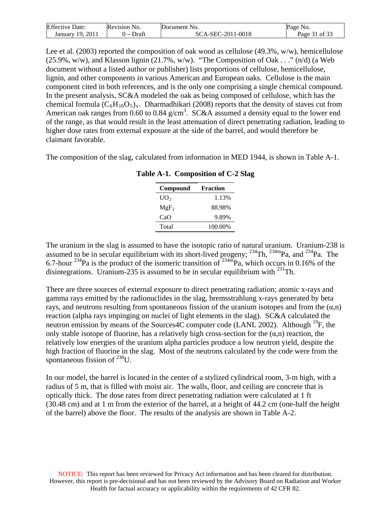| <b>Effective Date:</b> | Revision No.                      | Document No.      | Page No.      |
|------------------------|-----------------------------------|-------------------|---------------|
| January 19, 2011       | Draft<br>$\overline{\phantom{0}}$ | SCA-SEC-2011-0018 | Page 31 of 33 |

Lee et al. (2003) reported the composition of oak wood as cellulose (49.3%, w/w), hemicellulose (25.9%, w/w), and Klasson lignin (21.7%, w/w). "The Composition of Oak . . ." (n/d) (a Web document without a listed author or publisher) lists proportions of cellulose, hemicellulose, lignin, and other components in various American and European oaks. Cellulose is the main component cited in both references, and is the only one comprising a single chemical compound. In the present analysis, SC&A modeled the oak as being composed of cellulose, which has the chemical formula  $(C_6H_{10}O_5)_x$ . Dharmadhikari (2008) reports that the density of staves cut from American oak ranges from 0.60 to 0.84  $g/cm<sup>3</sup>$ . SC&A assumed a density equal to the lower end of the range, as that would result in the least attenuation of direct penetrating radiation, leading to higher dose rates from external exposure at the side of the barrel, and would therefore be claimant favorable.

The composition of the slag, calculated from information in MED 1944, is shown in Table A-1.

| Compound         | <b>Fraction</b> |
|------------------|-----------------|
| UO <sub>2</sub>  | 1.13%           |
| MgF <sub>2</sub> | 88.98%          |
| CaO              | 9.89%           |
| Total            | 100.00%         |

**Table A-1. Composition of C-2 Slag** 

The uranium in the slag is assumed to have the isotopic ratio of natural uranium. Uranium-238 is assumed to be in secular equilibrium with its short-lived progeny;  $^{234}$ Th,  $^{234}$ mPa, and  $^{234}$ Pa. The 6.7-hour <sup>234</sup>Pa is the product of the isomeric transition of <sup>234m</sup>Pa, which occurs in 0.16% of the disintegrations. Uranium-235 is assumed to be in secular equilibrium with <sup>231</sup>Th.

There are three sources of external exposure to direct penetrating radiation; atomic x-rays and gamma rays emitted by the radionuclides in the slag, bremsstrahlung x-rays generated by beta rays, and neutrons resulting from spontaneous fission of the uranium isotopes and from the  $(\alpha,n)$ reaction (alpha rays impinging on nuclei of light elements in the slag). SC&A calculated the neutron emission by means of the Sources4C computer code (LANL 2002). Although  $^{19}F$ , the only stable isotope of fluorine, has a relatively high cross-section for the  $(\alpha, n)$  reaction, the relatively low energies of the uranium alpha particles produce a low neutron yield, despite the high fraction of fluorine in the slag. Most of the neutrons calculated by the code were from the spontaneous fission of  $^{238}$ U.

In our model, the barrel is located in the center of a stylized cylindrical room, 3-m high, with a radius of 5 m, that is filled with moist air. The walls, floor, and ceiling are concrete that is optically thick. The dose rates from direct penetrating radiation were calculated at 1 ft (30.48 cm) and at 1 m from the exterior of the barrel, at a height of 44.2 cm (one-half the height of the barrel) above the floor. The results of the analysis are shown in Table A-2.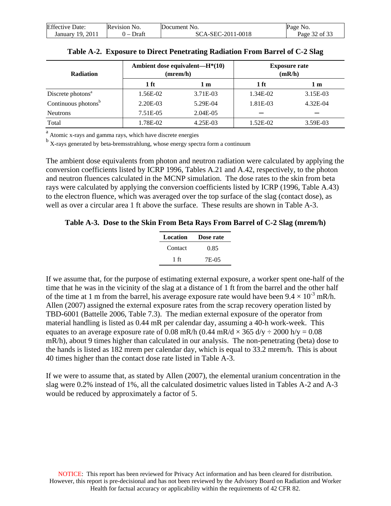| <b>Effective Date:</b> | Revision No. | Document No.      | Page No.      |
|------------------------|--------------|-------------------|---------------|
| January 19, 2011       | Draft        | SCA-SEC-2011-0018 | Page 32 of 33 |

| <b>Radiation</b>                |          | Ambient dose equivalent—H <sup>*</sup> (10)<br>(mrem/h) | <b>Exposure rate</b><br>(mR/h) |          |
|---------------------------------|----------|---------------------------------------------------------|--------------------------------|----------|
|                                 | 1 ft     | 1 m                                                     | 1 ft                           | 1 m      |
| Discrete photons <sup>a</sup>   | 1.56E-02 | 3.71E-03                                                | 1.34E-02                       | 3.15E-03 |
| Continuous photons <sup>b</sup> | 2.20E-03 | 5.29E-04                                                | 1.81E-03                       | 4.32E-04 |
| <b>Neutrons</b>                 | 7.51E-05 | $2.04E - 0.5$                                           |                                |          |
| Total                           | 1.78E-02 | 4.25E-03                                                | 1.52E-02                       | 3.59E-03 |

|  |  |  | Table A-2. Exposure to Direct Penetrating Radiation From Barrel of C-2 Slag |
|--|--|--|-----------------------------------------------------------------------------|
|  |  |  |                                                                             |

<sup>a</sup> Atomic x-rays and gamma rays, which have discrete energies

<sup>b</sup> X-rays generated by beta-bremsstrahlung, whose energy spectra form a continuum

The ambient dose equivalents from photon and neutron radiation were calculated by applying the conversion coefficients listed by ICRP 1996, Tables A.21 and A.42, respectively, to the photon and neutron fluences calculated in the MCNP simulation. The dose rates to the skin from beta rays were calculated by applying the conversion coefficients listed by ICRP (1996, Table A.43) to the electron fluence, which was averaged over the top surface of the slag (contact dose), as well as over a circular area 1 ft above the surface. These results are shown in Table A-3.

**Table A-3. Dose to the Skin From Beta Rays From Barrel of C-2 Slag (mrem/h)** 

| Location | Dose rate |
|----------|-----------|
| Contact  | 0.85      |
| 1 ft     | 7E-05     |

If we assume that, for the purpose of estimating external exposure, a worker spent one-half of the time that he was in the vicinity of the slag at a distance of 1 ft from the barrel and the other half of the time at 1 m from the barrel, his average exposure rate would have been  $9.4 \times 10^{-3}$  mR/h. Allen (2007) assigned the external exposure rates from the scrap recovery operation listed by TBD-6001 (Battelle 2006, Table 7.3). The median external exposure of the operator from material handling is listed as 0.44 mR per calendar day, assuming a 40-h work-week. This equates to an average exposure rate of 0.08 mR/h (0.44 mR/d  $\times$  365 d/y  $\div$  2000 h/y = 0.08 mR/h), about 9 times higher than calculated in our analysis. The non-penetrating (beta) dose to the hands is listed as 182 mrem per calendar day, which is equal to 33.2 mrem/h. This is about 40 times higher than the contact dose rate listed in Table A-3.

If we were to assume that, as stated by Allen (2007), the elemental uranium concentration in the slag were 0.2% instead of 1%, all the calculated dosimetric values listed in Tables A-2 and A-3 would be reduced by approximately a factor of 5.